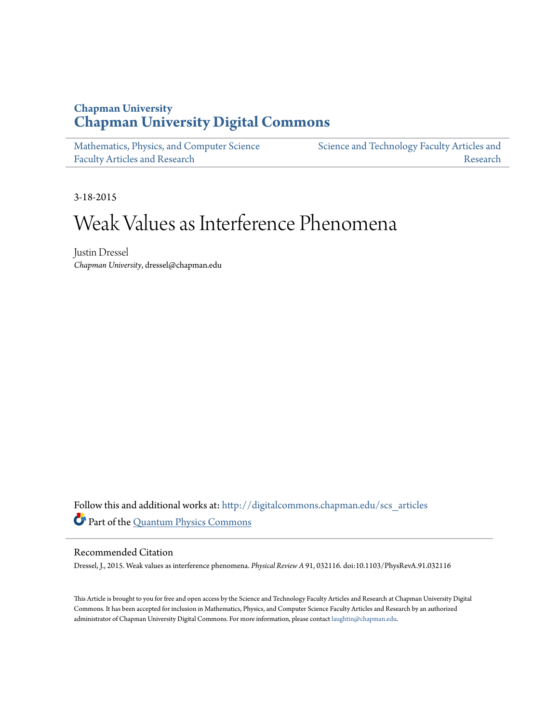### **Chapman University [Chapman University Digital Commons](http://digitalcommons.chapman.edu?utm_source=digitalcommons.chapman.edu%2Fscs_articles%2F376&utm_medium=PDF&utm_campaign=PDFCoverPages)**

[Mathematics, Physics, and Computer Science](http://digitalcommons.chapman.edu/scs_articles?utm_source=digitalcommons.chapman.edu%2Fscs_articles%2F376&utm_medium=PDF&utm_campaign=PDFCoverPages) [Faculty Articles and Research](http://digitalcommons.chapman.edu/scs_articles?utm_source=digitalcommons.chapman.edu%2Fscs_articles%2F376&utm_medium=PDF&utm_campaign=PDFCoverPages) [Science and Technology Faculty Articles and](http://digitalcommons.chapman.edu/science_articles?utm_source=digitalcommons.chapman.edu%2Fscs_articles%2F376&utm_medium=PDF&utm_campaign=PDFCoverPages) [Research](http://digitalcommons.chapman.edu/science_articles?utm_source=digitalcommons.chapman.edu%2Fscs_articles%2F376&utm_medium=PDF&utm_campaign=PDFCoverPages)

3-18-2015

# Weak Values as Interference Phenomena

Justin Dressel *Chapman University*, dressel@chapman.edu

Follow this and additional works at: [http://digitalcommons.chapman.edu/scs\\_articles](http://digitalcommons.chapman.edu/scs_articles?utm_source=digitalcommons.chapman.edu%2Fscs_articles%2F376&utm_medium=PDF&utm_campaign=PDFCoverPages) Part of the [Quantum Physics Commons](http://network.bepress.com/hgg/discipline/206?utm_source=digitalcommons.chapman.edu%2Fscs_articles%2F376&utm_medium=PDF&utm_campaign=PDFCoverPages)

#### Recommended Citation

Dressel, J., 2015. Weak values as interference phenomena. *Physical Review A* 91, 032116. doi:10.1103/PhysRevA.91.032116

This Article is brought to you for free and open access by the Science and Technology Faculty Articles and Research at Chapman University Digital Commons. It has been accepted for inclusion in Mathematics, Physics, and Computer Science Faculty Articles and Research by an authorized administrator of Chapman University Digital Commons. For more information, please contact [laughtin@chapman.edu.](mailto:laughtin@chapman.edu)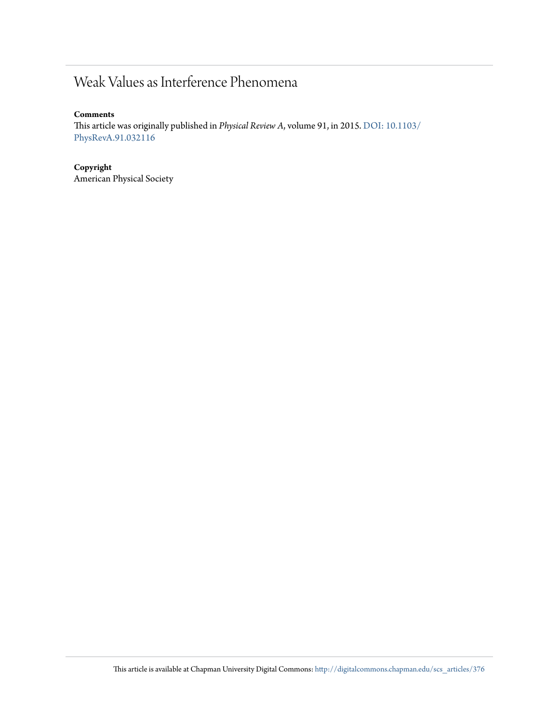## Weak Values as Interference Phenomena

#### **Comments**

This article was originally published in *Physical Review A*, volume 91, in 2015. [DOI: 10.1103/](http://dx.doi.org/10.1103/PhysRevA.91.032116) [PhysRevA.91.032116](http://dx.doi.org/10.1103/PhysRevA.91.032116)

**Copyright** American Physical Society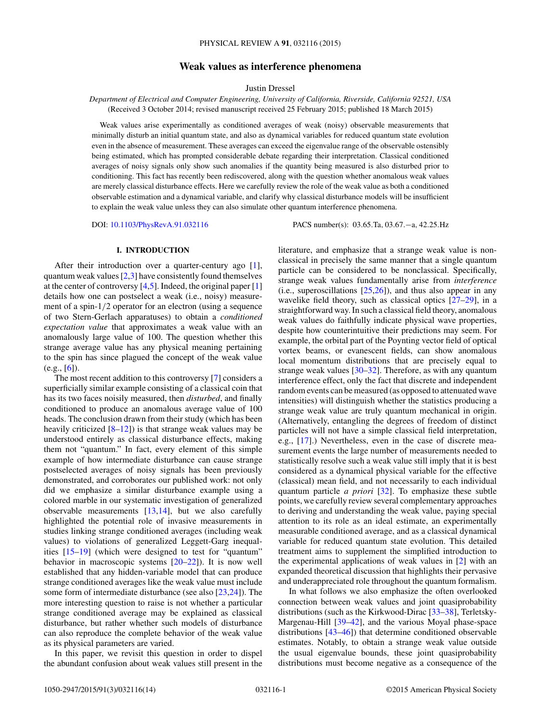#### **Weak values as interference phenomena**

Justin Dressel

*Department of Electrical and Computer Engineering, University of California, Riverside, California 92521, USA* (Received 3 October 2014; revised manuscript received 25 February 2015; published 18 March 2015)

Weak values arise experimentally as conditioned averages of weak (noisy) observable measurements that minimally disturb an initial quantum state, and also as dynamical variables for reduced quantum state evolution even in the absence of measurement. These averages can exceed the eigenvalue range of the observable ostensibly being estimated, which has prompted considerable debate regarding their interpretation. Classical conditioned averages of noisy signals only show such anomalies if the quantity being measured is also disturbed prior to conditioning. This fact has recently been rediscovered, along with the question whether anomalous weak values are merely classical disturbance effects. Here we carefully review the role of the weak value as both a conditioned observable estimation and a dynamical variable, and clarify why classical disturbance models will be insufficient to explain the weak value unless they can also simulate other quantum interference phenomena.

DOI: [10.1103/PhysRevA.91.032116](http://dx.doi.org/10.1103/PhysRevA.91.032116) PACS number(s): 03*.*65*.*Ta*,* 03*.*67*.*−a*,* 42*.*25*.*Hz

#### **I. INTRODUCTION**

After their introduction over a quarter-century ago [\[1\]](#page-12-0), quantum weak values  $[2,3]$  have consistently found themselves at the center of controversy  $[4,5]$ . Indeed, the original paper  $[1]$ details how one can postselect a weak (i.e., noisy) measurement of a spin-1*/*2 operator for an electron (using a sequence of two Stern-Gerlach apparatuses) to obtain a *conditioned expectation value* that approximates a weak value with an anomalously large value of 100. The question whether this strange average value has any physical meaning pertaining to the spin has since plagued the concept of the weak value  $(e.g., [6])$  $(e.g., [6])$  $(e.g., [6])$ .

The most recent addition to this controversy [\[7\]](#page-13-0) considers a superficially similar example consisting of a classical coin that has its two faces noisily measured, then *disturbed*, and finally conditioned to produce an anomalous average value of 100 heads. The conclusion drawn from their study (which has been heavily criticized  $[8-12]$ ) is that strange weak values may be understood entirely as classical disturbance effects, making them not "quantum." In fact, every element of this simple example of how intermediate disturbance can cause strange postselected averages of noisy signals has been previously demonstrated, and corroborates our published work: not only did we emphasize a similar disturbance example using a colored marble in our systematic investigation of generalized observable measurements [\[13,14\]](#page-13-0), but we also carefully highlighted the potential role of invasive measurements in studies linking strange conditioned averages (including weak values) to violations of generalized Leggett-Garg inequalities [\[15–19\]](#page-13-0) (which were designed to test for "quantum" behavior in macroscopic systems [\[20–22\]](#page-13-0)). It is now well established that any hidden-variable model that can produce strange conditioned averages like the weak value must include some form of intermediate disturbance (see also [\[23,24\]](#page-13-0)). The more interesting question to raise is not whether a particular strange conditioned average may be explained as classical disturbance, but rather whether such models of disturbance can also reproduce the complete behavior of the weak value as its physical parameters are varied.

In this paper, we revisit this question in order to dispel the abundant confusion about weak values still present in the

literature, and emphasize that a strange weak value is nonclassical in precisely the same manner that a single quantum particle can be considered to be nonclassical. Specifically, strange weak values fundamentally arise from *interference* (i.e., superoscillations [\[25,26\]](#page-13-0)), and thus also appear in any wavelike field theory, such as classical optics [\[27–29\]](#page-13-0), in a straightforward way. In such a classical field theory, anomalous weak values do faithfully indicate physical wave properties, despite how counterintuitive their predictions may seem. For example, the orbital part of the Poynting vector field of optical vortex beams, or evanescent fields, can show anomalous local momentum distributions that are precisely equal to strange weak values  $[30-32]$ . Therefore, as with any quantum interference effect, only the fact that discrete and independent random events can be measured (as opposed to attenuated wave intensities) will distinguish whether the statistics producing a strange weak value are truly quantum mechanical in origin. (Alternatively, entangling the degrees of freedom of distinct particles will not have a simple classical field interpretation, e.g., [\[17\]](#page-13-0).) Nevertheless, even in the case of discrete measurement events the large number of measurements needed to statistically resolve such a weak value still imply that it is best considered as a dynamical physical variable for the effective (classical) mean field, and not necessarily to each individual quantum particle *a priori* [\[32\]](#page-13-0). To emphasize these subtle points, we carefully review several complementary approaches to deriving and understanding the weak value, paying special attention to its role as an ideal estimate, an experimentally measurable conditioned average, and as a classical dynamical variable for reduced quantum state evolution. This detailed treatment aims to supplement the simplified introduction to the experimental applications of weak values in [\[2\]](#page-12-0) with an expanded theoretical discussion that highlights their pervasive and underappreciated role throughout the quantum formalism.

In what follows we also emphasize the often overlooked connection between weak values and joint quasiprobability distributions (such as the Kirkwood-Dirac [\[33–38\]](#page-13-0), Terletsky-Margenau-Hill [\[39–42\]](#page-13-0), and the various Moyal phase-space distributions [\[43–46\]](#page-13-0)) that determine conditioned observable estimates. Notably, to obtain a strange weak value outside the usual eigenvalue bounds, these joint quasiprobability distributions must become negative as a consequence of the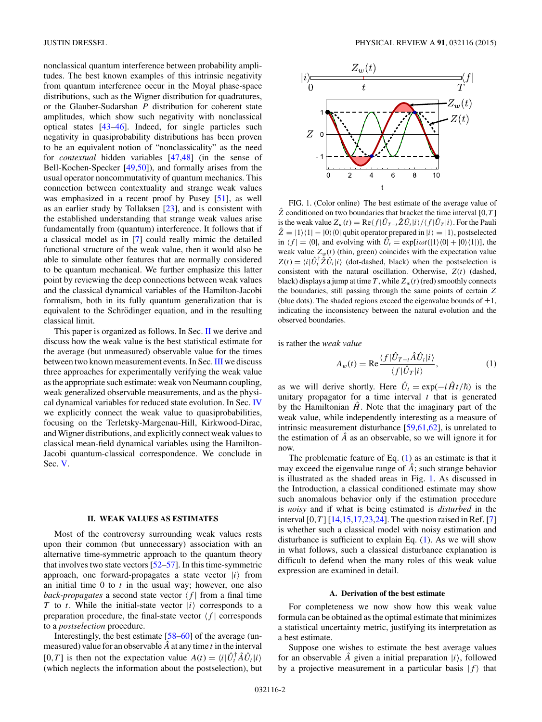<span id="page-3-0"></span>nonclassical quantum interference between probability amplitudes. The best known examples of this intrinsic negativity from quantum interference occur in the Moyal phase-space distributions, such as the Wigner distribution for quadratures, or the Glauber-Sudarshan *P* distribution for coherent state amplitudes, which show such negativity with nonclassical optical states [\[43–46\]](#page-13-0). Indeed, for single particles such negativity in quasiprobability distributions has been proven to be an equivalent notion of "nonclassicality" as the need for *contextual* hidden variables [\[47,](#page-13-0)[48\]](#page-14-0) (in the sense of Bell-Kochen-Specker [\[49,50\]](#page-14-0)), and formally arises from the usual operator noncommutativity of quantum mechanics. This connection between contextuality and strange weak values was emphasized in a recent proof by Pusey [\[51\]](#page-14-0), as well as an earlier study by Tollaksen [\[23\]](#page-13-0), and is consistent with the established understanding that strange weak values arise fundamentally from (quantum) interference. It follows that if a classical model as in [\[7\]](#page-13-0) could really mimic the detailed functional structure of the weak value, then it would also be able to simulate other features that are normally considered to be quantum mechanical. We further emphasize this latter point by reviewing the deep connections between weak values and the classical dynamical variables of the Hamilton-Jacobi formalism, both in its fully quantum generalization that is equivalent to the Schrödinger equation, and in the resulting classical limit.

This paper is organized as follows. In Sec. II we derive and discuss how the weak value is the best statistical estimate for the average (but unmeasured) observable value for the times between two known measurement events. In Sec. [III](#page-5-0) we discuss three approaches for experimentally verifying the weak value as the appropriate such estimate: weak von Neumann coupling, weak generalized observable measurements, and as the physical dynamical variables for reduced state evolution. In Sec. [IV](#page-10-0) we explicitly connect the weak value to quasiprobabilities, focusing on the Terletsky-Margenau-Hill, Kirkwood-Dirac, andWigner distributions, and explicitly connect weak values to classical mean-field dynamical variables using the Hamilton-Jacobi quantum-classical correspondence. We conclude in Sec. [V.](#page-12-0)

#### **II. WEAK VALUES AS ESTIMATES**

Most of the controversy surrounding weak values rests upon their common (but unnecessary) association with an alternative time-symmetric approach to the quantum theory that involves two state vectors [\[52–57\]](#page-14-0). In this time-symmetric approach, one forward-propagates a state vector  $|i\rangle$  from an initial time 0 to *t* in the usual way; however, one also *back-propagates* a second state vector  $\langle f |$  from a final time *T* to *t*. While the initial-state vector  $|i\rangle$  corresponds to a preparation procedure, the final-state vector  $\langle f |$  corresponds to a *postselection* procedure.

Interestingly, the best estimate [\[58–60\]](#page-14-0) of the average (unmeasured) value for an observable *A*ˆ at any time *t* in the interval  $[0, T]$  is then not the expectation value  $A(t) = \langle i | \hat{U}_t^{\dagger} \hat{A} \hat{U}_t | i \rangle$ (which neglects the information about the postselection), but



FIG. 1. (Color online) The best estimate of the average value of  $\hat{Z}$  conditioned on two boundaries that bracket the time interval [0, *T*] is the weak value  $Z_w(t) = \text{Re}\langle f|\hat{U}_{T-t}\hat{Z}\hat{U}_t|i\rangle / \langle f|\hat{U}_T|i\rangle$ . For the Pauli  $\hat{Z} = |1\rangle\langle 1| - |0\rangle\langle 0|$  qubit operator prepared in  $|i\rangle = |1\rangle$ , postselected in  $\langle f | = \langle 0 |$ , and evolving with  $\hat{U}_t = \exp[i\omega t (|1\rangle \langle 0| + |0\rangle \langle 1|)]$ , the weak value  $Z_w(t)$  (thin, green) coincides with the expectation value  $Z(t) = \langle i | \hat{U}_t^{\dagger} \hat{Z} \hat{U}_t | i \rangle$  (dot-dashed, black) when the postselection is consistent with the natural oscillation. Otherwise, *Z*(*t*) (dashed, black) displays a jump at time *T*, while  $Z_w(t)$  (red) smoothly connects the boundaries, still passing through the same points of certain *Z* (blue dots). The shaded regions exceed the eigenvalue bounds of  $\pm 1$ , indicating the inconsistency between the natural evolution and the observed boundaries.

is rather the *weak value*

$$
A_w(t) = \text{Re}\frac{\langle f|\hat{U}_{T-t}\hat{A}\hat{U}_t|i\rangle}{\langle f|\hat{U}_T|i\rangle},\tag{1}
$$

as we will derive shortly. Here  $\hat{U}_t = \exp(-i\hat{H}t/\hbar)$  is the unitary propagator for a time interval *t* that is generated by the Hamiltonian  $\hat{H}$ . Note that the imaginary part of the weak value, while independently interesting as a measure of intrinsic measurement disturbance [\[59,61,62\]](#page-14-0), is unrelated to the estimation of  $\hat{A}$  as an observable, so we will ignore it for now.

The problematic feature of Eq. (1) as an estimate is that it may exceed the eigenvalue range of *A*; such strange behavior is illustrated as the shaded areas in Fig. 1. As discussed in the Introduction, a classical conditioned estimate may show such anomalous behavior only if the estimation procedure is *noisy* and if what is being estimated is *disturbed* in the interval  $[0, T]$   $[14, 15, 17, 23, 24]$ . The question raised in Ref. [\[7\]](#page-13-0) is whether such a classical model with noisy estimation and disturbance is sufficient to explain Eq. (1). As we will show in what follows, such a classical disturbance explanation is difficult to defend when the many roles of this weak value expression are examined in detail.

#### **A. Derivation of the best estimate**

For completeness we now show how this weak value formula can be obtained as the optimal estimate that minimizes a statistical uncertainty metric, justifying its interpretation as a best estimate.

Suppose one wishes to estimate the best average values for an observable  $\hat{A}$  given a initial preparation  $|i\rangle$ , followed by a projective measurement in a particular basis  $|f\rangle$  that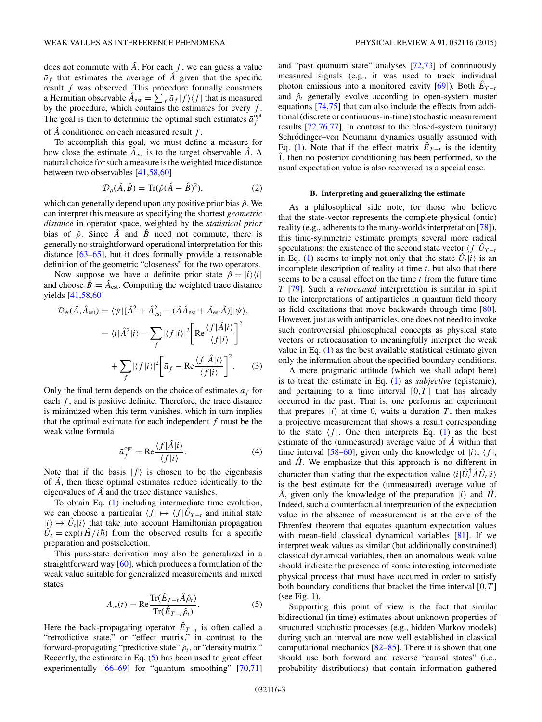<span id="page-4-0"></span>does not commute with  $\hat{A}$ . For each  $f$ , we can guess a value  $\bar{a}_f$  that estimates the average of  $\hat{A}$  given that the specific result *f* was observed. This procedure formally constructs a Hermitian observable  $\hat{A}_{est} = \sum_f \bar{a}_f |f\rangle\langle f|$  that is measured by the procedure, which contains the estimates for every *f* . The goal is then to determine the optimal such estimates  $\bar{a}^{\text{opt}}_f$ of *A*ˆ conditioned on each measured result *f* .

To accomplish this goal, we must define a measure for how close the estimate  $\hat{A}_{est}$  is to the target observable  $\hat{A}$ . A natural choice for such a measure is the weighted trace distance between two observables [\[41](#page-13-0)[,58,60\]](#page-14-0)

$$
\mathcal{D}_{\rho}(\hat{A}, \hat{B}) = \text{Tr}(\hat{\rho}(\hat{A} - \hat{B})^2),\tag{2}
$$

which can generally depend upon any positive prior bias  $\hat{\rho}$ . We can interpret this measure as specifying the shortest *geometric distance* in operator space, weighted by the *statistical prior* bias of  $\hat{\rho}$ . Since  $\hat{A}$  and  $\hat{B}$  need not commute, there is generally no straightforward operational interpretation for this distance [\[63–65\]](#page-14-0), but it does formally provide a reasonable definition of the geometric "closeness" for the two operators.

Now suppose we have a definite prior state  $\hat{\rho} = |i\rangle\langle i|$ and choose  $\hat{B} = \hat{A}_{est}$ . Computing the weighted trace distance yields [\[41](#page-13-0)[,58,60\]](#page-14-0)

$$
\mathcal{D}_{\psi}(\hat{A}, \hat{A}_{est}) = \langle \psi | [\hat{A}^2 + \hat{A}_{est}^2 - (\hat{A}\hat{A}_{est} + \hat{A}_{est}\hat{A})] | \psi \rangle,
$$
  

$$
= \langle i | \hat{A}^2 | i \rangle - \sum_{f} |\langle f | i \rangle|^2 \left[ \text{Re} \frac{\langle f | \hat{A} | i \rangle}{\langle f | i \rangle} \right]^2
$$
  

$$
+ \sum_{f} |\langle f | i \rangle|^2 \left[ \bar{a}_f - \text{Re} \frac{\langle f | \hat{A} | i \rangle}{\langle f | i \rangle} \right]^2.
$$
 (3)

Only the final term depends on the choice of estimates  $\bar{a}_f$  for each *f*, and is positive definite. Therefore, the trace distance is minimized when this term vanishes, which in turn implies that the optimal estimate for each independent *f* must be the weak value formula

$$
\bar{a}_f^{\text{opt}} = \text{Re}\frac{\langle f|\hat{A}|i\rangle}{\langle f|i\rangle}.
$$
 (4)

Note that if the basis  $|f\rangle$  is chosen to be the eigenbasis of  $\hat{A}$ , then these optimal estimates reduce identically to the eigenvalues of  $\hat{A}$  and the trace distance vanishes.

To obtain Eq. [\(1\)](#page-3-0) including intermediate time evolution, we can choose a particular  $\langle f | \mapsto \langle f | \hat{U}_{T-t} \rangle$  and initial state  $|i\rangle \mapsto \hat{U}_t|i\rangle$  that take into account Hamiltonian propagation  $\hat{U}_t = \exp(t\hat{H}/i\hbar)$  from the observed results for a specific preparation and postselection.

This pure-state derivation may also be generalized in a straightforward way [\[60\]](#page-14-0), which produces a formulation of the weak value suitable for generalized measurements and mixed states

$$
A_w(t) = \text{Re} \frac{\text{Tr}(\hat{E}_{T-t}\hat{A}\hat{\rho}_t)}{\text{Tr}(\hat{E}_{T-t}\hat{\rho}_t)}.
$$
(5)

Here the back-propagating operator  $\hat{E}_{T-t}$  is often called a "retrodictive state," or "effect matrix," in contrast to the forward-propagating "predictive state"  $ρ<sub>t</sub>$ , or "density matrix." Recently, the estimate in Eq. (5) has been used to great effect experimentally [\[66–69\]](#page-14-0) for "quantum smoothing" [\[70,71\]](#page-14-0)

and "past quantum state" analyses [\[72,73\]](#page-14-0) of continuously measured signals (e.g., it was used to track individual photon emissions into a monitored cavity  $[69]$ ). Both  $E_{T-t}$ and  $\hat{\rho}_t$  generally evolve according to open-system master equations [\[74,75\]](#page-14-0) that can also include the effects from additional (discrete or continuous-in-time) stochastic measurement results [\[72,76,77\]](#page-14-0), in contrast to the closed-system (unitary) Schrödinger–von Neumann dynamics usually assumed with Eq. [\(1\)](#page-3-0). Note that if the effect matrix  $\hat{E}_{T-t}$  is the identity  $\hat{1}$ , then no posterior conditioning has been performed, so the usual expectation value is also recovered as a special case.

#### **B. Interpreting and generalizing the estimate**

As a philosophical side note, for those who believe that the state-vector represents the complete physical (ontic) reality (e.g., adherents to the many-worlds interpretation [\[78\]](#page-14-0)), this time-symmetric estimate prompts several more radical speculations: the existence of the second state vector  $\langle f | \hat{U}_{T-t} \rangle$ in Eq. [\(1\)](#page-3-0) seems to imply not only that the state  $\hat{U}_t|i\rangle$  is an incomplete description of reality at time *t*, but also that there seems to be a causal effect on the time *t* from the future time *T* [\[79\]](#page-14-0). Such a *retrocausal* interpretation is similar in spirit to the interpretations of antiparticles in quantum field theory as field excitations that move backwards through time [\[80\]](#page-14-0). However, just as with antiparticles, one does not need to invoke such controversial philosophical concepts as physical state vectors or retrocausation to meaningfully interpret the weak value in Eq. [\(1\)](#page-3-0) as the best available statistical estimate given only the information about the specified boundary conditions.

A more pragmatic attitude (which we shall adopt here) is to treat the estimate in Eq. [\(1\)](#page-3-0) as *subjective* (epistemic), and pertaining to a time interval  $[0, T]$  that has already occurred in the past. That is, one performs an experiment that prepares  $|i\rangle$  at time 0, waits a duration  $T$ , then makes a projective measurement that shows a result corresponding to the state  $\langle f |$ . One then interprets Eq. [\(1\)](#page-3-0) as the best estimate of the (unmeasured) average value of A within that time interval [\[58–60\]](#page-14-0), given only the knowledge of  $|i\rangle$ ,  $\langle f|$ , and  $\hat{H}$ . We emphasize that this approach is no different in character than stating that the expectation value  $\langle i|\hat{U}_t^{\dagger}\hat{A}\hat{U}_t|i\rangle$ is the best estimate for the (unmeasured) average value of  $\hat{A}$ , given only the knowledge of the preparation  $|i\rangle$  and  $\hat{H}$ . Indeed, such a counterfactual interpretation of the expectation value in the absence of measurement is at the core of the Ehrenfest theorem that equates quantum expectation values with mean-field classical dynamical variables [\[81\]](#page-14-0). If we interpret weak values as similar (but additionally constrained) classical dynamical variables, then an anomalous weak value should indicate the presence of some interesting intermediate physical process that must have occurred in order to satisfy both boundary conditions that bracket the time interval [0*,T* ] (see Fig. [1\)](#page-3-0).

Supporting this point of view is the fact that similar bidirectional (in time) estimates about unknown properties of structured stochastic processes (e.g., hidden Markov models) during such an interval are now well established in classical computational mechanics [\[82–85\]](#page-14-0). There it is shown that one should use both forward and reverse "causal states" (i.e., probability distributions) that contain information gathered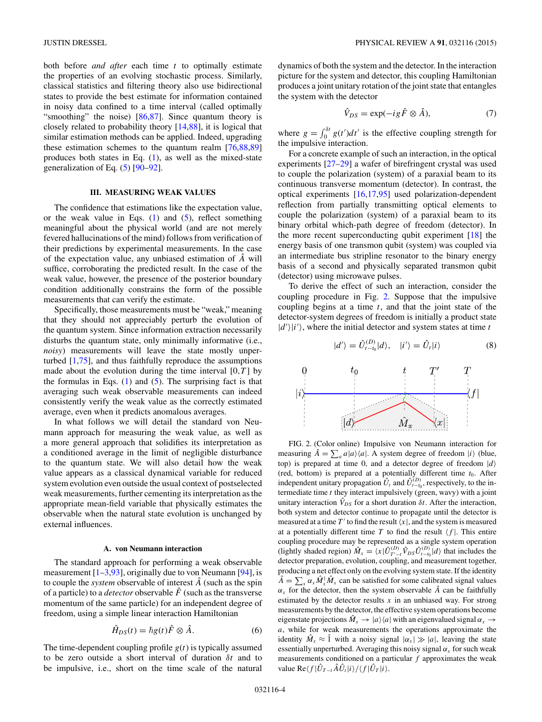<span id="page-5-0"></span>both before *and after* each time *t* to optimally estimate the properties of an evolving stochastic process. Similarly, classical statistics and filtering theory also use bidirectional states to provide the best estimate for information contained in noisy data confined to a time interval (called optimally "smoothing" the noise) [\[86,87\]](#page-14-0). Since quantum theory is closely related to probability theory [\[14,](#page-13-0)[88\]](#page-14-0), it is logical that similar estimation methods can be applied. Indeed, upgrading these estimation schemes to the quantum realm [\[76,88,89\]](#page-14-0) produces both states in Eq.  $(1)$ , as well as the mixed-state generalization of Eq. [\(5\)](#page-4-0) [\[90–92\]](#page-14-0).

#### **III. MEASURING WEAK VALUES**

The confidence that estimations like the expectation value, or the weak value in Eqs.  $(1)$  and  $(5)$ , reflect something meaningful about the physical world (and are not merely fevered hallucinations of the mind) follows from verification of their predictions by experimental measurements. In the case of the expectation value, any unbiased estimation of *A*ˆ will suffice, corroborating the predicted result. In the case of the weak value, however, the presence of the posterior boundary condition additionally constrains the form of the possible measurements that can verify the estimate.

Specifically, those measurements must be "weak," meaning that they should not appreciably perturb the evolution of the quantum system. Since information extraction necessarily disturbs the quantum state, only minimally informative (i.e., *noisy*) measurements will leave the state mostly unperturbed [\[1,](#page-12-0)[75\]](#page-14-0), and thus faithfully reproduce the assumptions made about the evolution during the time interval  $[0, T]$  by the formulas in Eqs.  $(1)$  and  $(5)$ . The surprising fact is that averaging such weak observable measurements can indeed consistently verify the weak value as the correctly estimated average, even when it predicts anomalous averages.

In what follows we will detail the standard von Neumann approach for measuring the weak value, as well as a more general approach that solidifies its interpretation as a conditioned average in the limit of negligible disturbance to the quantum state. We will also detail how the weak value appears as a classical dynamical variable for reduced system evolution even outside the usual context of postselected weak measurements, further cementing its interpretation as the appropriate mean-field variable that physically estimates the observable when the natural state evolution is unchanged by external influences.

#### **A. von Neumann interaction**

The standard approach for performing a weak observable measurement  $[1-3,93]$  $[1-3,93]$ , originally due to von Neumann  $[94]$ , is to couple the *system* observable of interest  $\hat{A}$  (such as the spin of a particle) to a *detector* observable  $\hat{F}$  (such as the transverse momentum of the same particle) for an independent degree of freedom, using a simple linear interaction Hamiltonian

$$
\hat{H}_{DS}(t) = \hbar g(t)\hat{F} \otimes \hat{A}.
$$
 (6)

The time-dependent coupling profile  $g(t)$  is typically assumed to be zero outside a short interval of duration *δt* and to be impulsive, i.e., short on the time scale of the natural dynamics of both the system and the detector. In the interaction picture for the system and detector, this coupling Hamiltonian produces a joint unitary rotation of the joint state that entangles the system with the detector

$$
\hat{V}_{DS} = \exp(-ig\,\hat{F}\otimes\hat{A}),\tag{7}
$$

where  $g = \int_0^{\delta t} g(t')dt'$  is the effective coupling strength for the impulsive interaction.

For a concrete example of such an interaction, in the optical experiments [\[27–29\]](#page-13-0) a wafer of birefringent crystal was used to couple the polarization (system) of a paraxial beam to its continuous transverse momentum (detector). In contrast, the optical experiments [\[16,17,](#page-13-0)[95\]](#page-15-0) used polarization-dependent reflection from partially transmitting optical elements to couple the polarization (system) of a paraxial beam to its binary orbital which-path degree of freedom (detector). In the more recent superconducting qubit experiment [\[18\]](#page-13-0) the energy basis of one transmon qubit (system) was coupled via an intermediate bus stripline resonator to the binary energy basis of a second and physically separated transmon qubit (detector) using microwave pulses.

To derive the effect of such an interaction, consider the coupling procedure in Fig. 2. Suppose that the impulsive coupling begins at a time *t*, and that the joint state of the detector-system degrees of freedom is initially a product state  $|d'\rangle|i'\rangle$ , where the initial detector and system states at time *t* 

$$
|d'\rangle = \hat{U}_{t-t_0}^{(D)}|d\rangle, \quad |i'\rangle = \hat{U}_t|i\rangle \tag{8}
$$



FIG. 2. (Color online) Impulsive von Neumann interaction for measuring  $\hat{A} = \sum_a a |a\rangle\langle a|$ . A system degree of freedom  $|i\rangle$  (blue, top) is prepared at time 0, and a detector degree of freedom  $|d\rangle$ (red, bottom) is prepared at a potentially different time  $t_0$ . After independent unitary propagation  $\hat{U}_t$  and  $\hat{U}_{t-t_0}^{(D)}$ , respectively, to the intermediate time *t* they interact impulsively (green, wavy) with a joint unitary interaction  $\hat{V}_{DS}$  for a short duration  $\delta t$ . After the interaction, both system and detector continue to propagate until the detector is measured at a time  $T'$  to find the result  $\langle x |$ , and the system is measured at a potentially different time  $T$  to find the result  $\langle f |$ . This entire coupling procedure may be represented as a single system operation (lightly shaded region)  $\hat{M}_x = \langle x | \hat{U}_{T'-t}^{(D)} \hat{V}_{DS} \hat{U}_{t-t_0}^{(D)} | d \rangle$  that includes the detector preparation, evolution, coupling, and measurement together, producing a net effect only on the evolving system state. If the identity  $\hat{A} = \sum_{x} \alpha_x \hat{M}_x^{\dagger} \hat{M}_x$  can be satisfied for some calibrated signal values  $\alpha_x$  for the detector, then the system observable  $\hat{A}$  can be faithfully estimated by the detector results *x* in an unbiased way. For strong measurements by the detector, the effective system operations become eigenstate projections  $\hat{M}_x \rightarrow |a\rangle\langle a|$  with an eigenvalued signal  $\alpha_x \rightarrow$ *a*, while for weak measurements the operations approximate the identity  $\hat{M}_x \approx \hat{1}$  with a noisy signal  $|\alpha_x| \gg |a|$ , leaving the state essentially unperturbed. Averaging this noisy signal  $\alpha_x$  for such weak measurements conditioned on a particular *f* approximates the weak value Re $\langle f | \hat{U}_{T-t} \hat{A} \hat{U}_t | i \rangle / \langle f | \hat{U}_T | i \rangle$ .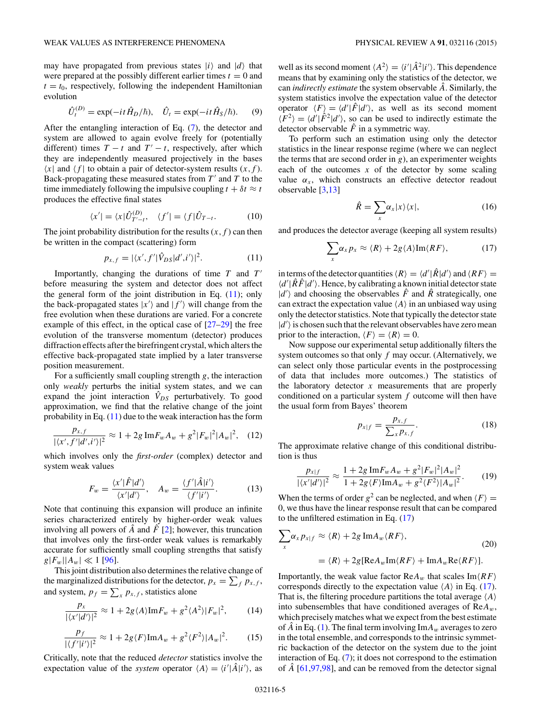<span id="page-6-0"></span>may have propagated from previous states  $|i\rangle$  and  $|d\rangle$  that were prepared at the possibly different earlier times  $t = 0$  and  $t = t_0$ , respectively, following the independent Hamiltonian evolution

$$
\hat{U}_t^{(D)} = \exp(-it\hat{H}_D/\hbar), \quad \hat{U}_t = \exp(-it\hat{H}_S/\hbar). \tag{9}
$$

After the entangling interaction of Eq. [\(7\)](#page-5-0), the detector and system are allowed to again evolve freely for (potentially different) times  $T - t$  and  $T' - t$ , respectively, after which they are independently measured projectively in the bases  $\langle x |$  and  $\langle f |$  to obtain a pair of detector-system results  $(x, f)$ . Back-propagating these measured states from  $T'$  and  $T$  to the time immediately following the impulsive coupling  $t + \delta t \approx t$ produces the effective final states

$$
\langle x' \vert = \langle x \vert \hat{U}_{T'-t}^{(D)}, \quad \langle f' \vert = \langle f \vert \hat{U}_{T-t}.
$$
 (10)

The joint probability distribution for the results  $(x, f)$  can then be written in the compact (scattering) form

$$
p_{x,f} = |\langle x', f' | \hat{V}_{DS} | d', i' \rangle|^2. \tag{11}
$$

Importantly, changing the durations of time *T* and *T* before measuring the system and detector does not affect the general form of the joint distribution in Eq. (11); only the back-propagated states  $|x'\rangle$  and  $|f'\rangle$  will change from the free evolution when these durations are varied. For a concrete example of this effect, in the optical case of [\[27–29\]](#page-13-0) the free evolution of the transverse momentum (detector) produces diffraction effects after the birefringent crystal, which alters the effective back-propagated state implied by a later transverse position measurement.

For a sufficiently small coupling strength *g*, the interaction only *weakly* perturbs the initial system states, and we can expand the joint interaction  $\hat{V}_{DS}$  perturbatively. To good approximation, we find that the relative change of the joint probability in Eq.  $(11)$  due to the weak interaction has the form

$$
\frac{p_{x,f}}{|\langle x',f'|d',i'\rangle|^2} \approx 1 + 2g \operatorname{Im} F_w A_w + g^2 |F_w|^2 |A_w|^2, \quad (12)
$$

which involves only the *first-order* (complex) detector and system weak values

$$
F_w = \frac{\langle x' | \hat{F} | d' \rangle}{\langle x' | d' \rangle}, \quad A_w = \frac{\langle f' | \hat{A} | i' \rangle}{\langle f' | i' \rangle}.
$$
 (13)

Note that continuing this expansion will produce an infinite series characterized entirely by higher-order weak values involving all powers of  $\hat{A}$  and  $\hat{F}$  [\[2\]](#page-12-0); however, this truncation that involves only the first-order weak values is remarkably accurate for sufficiently small coupling strengths that satisfy  $g|F_w||A_w| \ll 1$  [\[96\]](#page-15-0).

This joint distribution also determines the relative change of the marginalized distributions for the detector,  $p_x = \sum_f p_{x,f}$ , and system,  $p_f = \sum_x p_{x,f}$ , statistics alone

$$
\frac{p_x}{|\langle x'|d'\rangle|^2} \approx 1 + 2g\langle A\rangle \text{Im} F_w + g^2 \langle A^2\rangle |F_w|^2, \tag{14}
$$

$$
\frac{p_f}{|\langle f'|i'\rangle|^2} \approx 1 + 2g\langle F\rangle \text{Im}A_w + g^2\langle F^2\rangle |A_w|^2. \tag{15}
$$

Critically, note that the reduced *detector* statistics involve the expectation value of the *system* operator  $\langle A \rangle = \langle i' | \hat{A} | i' \rangle$ , as

well as its second moment  $\langle A^2 \rangle = \langle i' | \hat{A}^2 | i' \rangle$ . This dependence means that by examining only the statistics of the detector, we can *indirectly estimate* the system observable *A*ˆ. Similarly, the system statistics involve the expectation value of the detector operator  $\langle F \rangle = \langle d' | \hat{F} | d' \rangle$ , as well as its second moment  $\langle \hat{F}^2 \rangle = \langle d' | \hat{F}^2 | d' \rangle$ , so can be used to indirectly estimate the detector observable  $\hat{F}$  in a symmetric way.

To perform such an estimation using only the detector statistics in the linear response regime (where we can neglect the terms that are second order in *g*), an experimenter weights each of the outcomes  $x$  of the detector by some scaling value  $\alpha_x$ , which constructs an effective detector readout observable [\[3](#page-12-0)[,13\]](#page-13-0)

$$
\hat{R} = \sum_{x} \alpha_x |x\rangle\langle x|,\tag{16}
$$

and produces the detector average (keeping all system results)

$$
\sum_{x} \alpha_{x} p_{x} \approx \langle R \rangle + 2g \langle A \rangle \text{Im}\langle RF \rangle, \tag{17}
$$

in terms of the detector quantities  $\langle R \rangle = \langle d' | \hat{R} | d' \rangle$  and  $\langle RF \rangle =$  $\langle d' | \hat{R}\hat{F} | d' \rangle$ . Hence, by calibrating a known initial detector state  $|d'\rangle$  and choosing the observables  $\hat{F}$  and  $\hat{R}$  strategically, one can extract the expectation value  $\langle A \rangle$  in an unbiased way using only the detector statistics. Note that typically the detector state  $|d'\rangle$  is chosen such that the relevant observables have zero mean prior to the interaction,  $\langle F \rangle = \langle R \rangle = 0$ .

Now suppose our experimental setup additionally filters the system outcomes so that only *f* may occur. (Alternatively, we can select only those particular events in the postprocessing of data that includes more outcomes.) The statistics of the laboratory detector  $x$  measurements that are properly conditioned on a particular system *f* outcome will then have the usual form from Bayes' theorem

$$
p_{x|f} = \frac{p_{x,f}}{\sum_{x} p_{x,f}}.\tag{18}
$$

The approximate relative change of this conditional distribution is thus

$$
\frac{p_{x|f}}{|\langle x'|d'\rangle|^2} \approx \frac{1+2g \operatorname{Im} F_w A_w + g^2 |F_w|^2 |A_w|^2}{1+2g\langle F\rangle \operatorname{Im} A_w + g^2 \langle F^2\rangle |A_w|^2}.\tag{19}
$$

When the terms of order  $g^2$  can be neglected, and when  $\langle F \rangle =$ 0, we thus have the linear response result that can be compared to the unfiltered estimation in Eq. (17)

$$
\sum_{x} \alpha_{x} p_{x|f} \approx \langle R \rangle + 2g \operatorname{Im} A_{w} \langle RF \rangle, \tag{20}
$$

$$
= \langle R \rangle + 2g[\operatorname{Re} A_{w} \operatorname{Im} \langle RF \rangle + \operatorname{Im} A_{w} \operatorname{Re} \langle RF \rangle].
$$

Importantly, the weak value factor  $ReA_w$  that scales  $Im\langle RF\rangle$ corresponds directly to the expectation value  $\langle A \rangle$  in Eq. (17). That is, the filtering procedure partitions the total average  $\langle A \rangle$ into subensembles that have conditioned averages of Re*Aw*, which precisely matches what we expect from the best estimate of  $\ddot{A}$  in Eq. [\(1\)](#page-3-0). The final term involving  $\text{Im}A_w$  averages to zero in the total ensemble, and corresponds to the intrinsic symmetric backaction of the detector on the system due to the joint interaction of Eq. [\(7\)](#page-5-0); it does not correspond to the estimation of *A*ˆ [\[61,](#page-14-0)[97,98\]](#page-15-0), and can be removed from the detector signal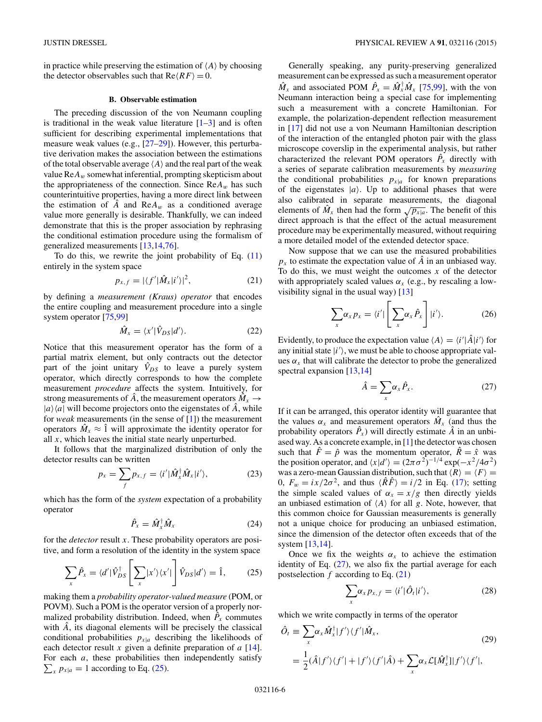<span id="page-7-0"></span>in practice while preserving the estimation of  $\langle A \rangle$  by choosing the detector observables such that  $Re\langle RF \rangle = 0$ .

#### **B. Observable estimation**

The preceding discussion of the von Neumann coupling is traditional in the weak value literature  $[1-3]$  and is often sufficient for describing experimental implementations that measure weak values (e.g., [\[27–29\]](#page-13-0)). However, this perturbative derivation makes the association between the estimations of the total observable average  $\langle A \rangle$  and the real part of the weak value Re*Aw* somewhat inferential, prompting skepticism about the appropriateness of the connection. Since  $ReA_w$  has such counterintuitive properties, having a more direct link between the estimation of  $\hat{A}$  and  $\text{Re}A_w$  as a conditioned average value more generally is desirable. Thankfully, we can indeed demonstrate that this is the proper association by rephrasing the conditional estimation procedure using the formalism of generalized measurements [\[13,14,](#page-13-0)[76\]](#page-14-0).

To do this, we rewrite the joint probability of Eq.  $(11)$ entirely in the system space

$$
p_{x,f} = |\langle f'|\hat{M}_x|i'\rangle|^2, \tag{21}
$$

by defining a *measurement (Kraus) operator* that encodes the entire coupling and measurement procedure into a single system operator [\[75,](#page-14-0)[99\]](#page-15-0)

$$
\hat{M}_x = \langle x' | \hat{V}_{DS} | d' \rangle. \tag{22}
$$

Notice that this measurement operator has the form of a partial matrix element, but only contracts out the detector part of the joint unitary  $\hat{V}_{DS}$  to leave a purely system operator, which directly corresponds to how the complete measurement *procedure* affects the system. Intuitively, for strong measurements of  $\hat{A}$ , the measurement operators  $\hat{M}_x \rightarrow$  $|a\rangle\langle a|$  will become projectors onto the eigenstates of  $\hat{A}$ , while for *weak* measurements (in the sense of [\[1\]](#page-12-0)) the measurement operators  $\hat{M}_x \approx \hat{1}$  will approximate the identity operator for all *x*, which leaves the initial state nearly unperturbed.

It follows that the marginalized distribution of only the detector results can be written

$$
p_x = \sum_f p_{x,f} = \langle i' | \hat{M}_x^\dagger \hat{M}_x | i' \rangle, \tag{23}
$$

which has the form of the *system* expectation of a probability operator

$$
\hat{P}_x = \hat{M}_x^\dagger \hat{M}_x \tag{24}
$$

for the *detector* result *x*. These probability operators are positive, and form a resolution of the identity in the system space

$$
\sum_{x} \hat{P}_x = \langle d' | \hat{V}_{DS}^{\dagger} \left[ \sum_{x} |x'\rangle \langle x' | \right] \hat{V}_{DS} | d' \rangle = \hat{1}, \tag{25}
$$

making them a *probability operator-valued measure* (POM, or POVM). Such a POM is the operator version of a properly normalized probability distribution. Indeed, when  $\hat{P}_x$  commutes with *A*, its diagonal elements will be precisely the classical conditional probabilities  $p_{x|a}$  describing the likelihoods of each detector result *x* given a definite preparation of *a* [\[14\]](#page-13-0). For each *a*, these probabilities then independently satisfy  $\sum_{x} p_{x|a} = 1$  according to Eq. (25).

Generally speaking, any purity-preserving generalized measurement can be expressed as such a measurement operator  $\hat{M}_x$  and associated POM  $\hat{P}_x = \hat{M}_x^{\dagger} \hat{M}_x$  [\[75,](#page-14-0)[99\]](#page-15-0), with the von Neumann interaction being a special case for implementing such a measurement with a concrete Hamiltonian. For example, the polarization-dependent reflection measurement in [\[17\]](#page-13-0) did not use a von Neumann Hamiltonian description of the interaction of the entangled photon pair with the glass microscope coverslip in the experimental analysis, but rather characterized the relevant POM operators  $\hat{P}_x$  directly with a series of separate calibration measurements by *measuring* the conditional probabilities  $p_{x|a}$  for known preparations of the eigenstates  $|a\rangle$ . Up to additional phases that were also calibrated in separate measurements, the diagonal elements of  $\hat{M}_x$  then had the form  $\sqrt{p_{x|a}}$ . The benefit of this direct approach is that the effect of the actual measurement procedure may be experimentally measured, without requiring a more detailed model of the extended detector space.

Now suppose that we can use the measured probabilities  $p_x$  to estimate the expectation value of  $\ddot{A}$  in an unbiased way. To do this, we must weight the outcomes *x* of the detector with appropriately scaled values  $\alpha_x$  (e.g., by rescaling a lowvisibility signal in the usual way)  $[13]$ 

$$
\sum_{x} \alpha_{x} p_{x} = \langle i' | \left[ \sum_{x} \alpha_{x} \hat{P}_{x} \right] | i' \rangle. \tag{26}
$$

Evidently, to produce the expectation value  $\langle A \rangle = \langle i' | \hat{A} | i' \rangle$  for any initial state  $|i'\rangle$ , we must be able to choose appropriate values  $\alpha_x$  that will calibrate the detector to probe the generalized spectral expansion [\[13,14\]](#page-13-0)

$$
\hat{A} = \sum_{x} \alpha_x \hat{P}_x. \tag{27}
$$

If it can be arranged, this operator identity will guarantee that the values  $\alpha_x$  and measurement operators  $\hat{M}_x$  (and thus the probability operators  $\hat{P}_x$ ) will directly estimate  $\hat{A}$  in an unbiased way. As a concrete example, in [\[1\]](#page-12-0) the detector was chosen such that  $\hat{F} = \hat{p}$  was the momentum operator,  $\hat{R} = \hat{x}$  was the position operator, and  $\langle x|d'\rangle = (2\pi\sigma^2)^{-1/4} \exp(-x^2/4\sigma^2)$ was a zero-mean Gaussian distribution, such that  $\langle R \rangle = \langle F \rangle =$ 0,  $F_w = i\frac{x}{2\sigma^2}$ , and thus  $\langle \hat{R}\hat{F} \rangle = i/2$  in Eq. [\(17\)](#page-6-0); setting the simple scaled values of  $\alpha_x = x/g$  then directly yields an unbiased estimation of  $\langle A \rangle$  for all *g*. Note, however, that this common choice for Gaussian measurements is generally not a unique choice for producing an unbiased estimation, since the dimension of the detector often exceeds that of the system [\[13,14\]](#page-13-0).

Once we fix the weights  $\alpha_x$  to achieve the estimation identity of Eq.  $(27)$ , we also fix the partial average for each postselection *f* according to Eq. (21)

$$
\sum_{x} \alpha_{x} p_{x,f} = \langle i' | \hat{O}_{t} | i' \rangle, \tag{28}
$$

which we write compactly in terms of the operator

$$
\hat{O}_t \equiv \sum_x \alpha_x \hat{M}_x^{\dagger} |f'\rangle \langle f'| \hat{M}_x, \tag{29}
$$
\n
$$
= \frac{1}{2} (\hat{A}|f'\rangle \langle f'| + |f'\rangle \langle f'| \hat{A}) + \sum_x \alpha_x \mathcal{L}[\hat{M}_x^{\dagger}] |f'\rangle \langle f'|,
$$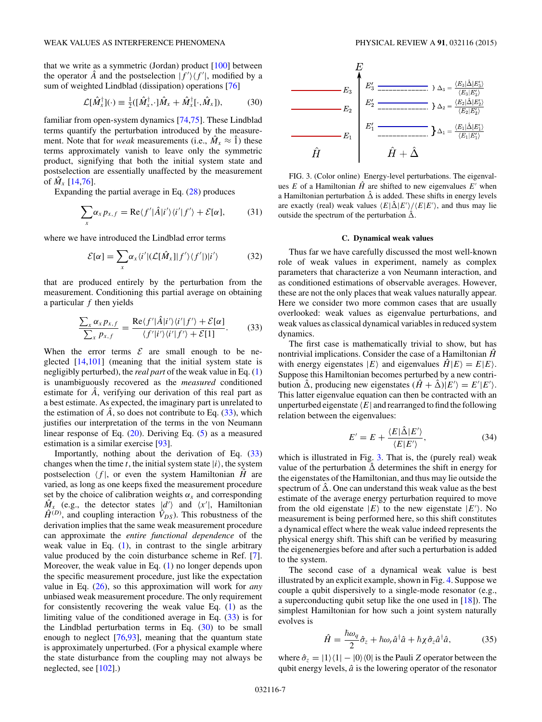<span id="page-8-0"></span>that we write as a symmetric (Jordan) product [\[100\]](#page-15-0) between the operator  $\hat{A}$  and the postselection  $|f'\rangle\langle f'|$ , modified by a sum of weighted Lindblad (dissipation) operations [\[76\]](#page-14-0)

$$
\mathcal{L}[\hat{M}_x^{\dagger}](\cdot) \equiv \frac{1}{2}([\hat{M}_x^{\dagger}, \cdot] \hat{M}_x + \hat{M}_x^{\dagger}[\cdot, \hat{M}_x]), \tag{30}
$$

familiar from open-system dynamics [\[74,75\]](#page-14-0). These Lindblad terms quantify the perturbation introduced by the measurement. Note that for *weak* measurements (i.e.,  $\hat{M}_x \approx \hat{1}$ ) these terms approximately vanish to leave only the symmetric product, signifying that both the initial system state and postselection are essentially unaffected by the measurement of  $\hat{M}_x$  [\[14,](#page-13-0)[76\]](#page-14-0).

Expanding the partial average in Eq. [\(28\)](#page-7-0) produces

$$
\sum_{x} \alpha_{x} p_{x,f} = \text{Re}\langle f' | \hat{A} | i' \rangle \langle i' | f' \rangle + \mathcal{E}[\alpha], \tag{31}
$$

where we have introduced the Lindblad error terms

$$
\mathcal{E}[\alpha] = \sum_{x} \alpha_x \langle i' | (\mathcal{L}[\hat{M}_x] | f' \rangle \langle f' |) | i' \rangle \tag{32}
$$

that are produced entirely by the perturbation from the measurement. Conditioning this partial average on obtaining a particular *f* then yields

$$
\frac{\sum_{x} \alpha_{x} p_{x,f}}{\sum_{x} p_{x,f}} = \frac{\text{Re}\langle f'|\hat{A}|i'\rangle\langle i'|f'\rangle + \mathcal{E}[\alpha]}{\langle f'|i'\rangle\langle i'|f'\rangle + \mathcal{E}[1]}.\tag{33}
$$

When the error terms  $\mathcal E$  are small enough to be neglected [\[14](#page-13-0)[,101\]](#page-15-0) (meaning that the initial system state is negligibly perturbed), the *real part* of the weak value in Eq. [\(1\)](#page-3-0) is unambiguously recovered as the *measured* conditioned estimate for  $\hat{A}$ , verifying our derivation of this real part as a best estimate. As expected, the imaginary part is unrelated to the estimation of  $\hat{A}$ , so does not contribute to Eq.  $(33)$ , which justifies our interpretation of the terms in the von Neumann linear response of Eq. [\(20\)](#page-6-0). Deriving Eq. [\(5\)](#page-4-0) as a measured estimation is a similar exercise [\[93\]](#page-15-0).

Importantly, nothing about the derivation of Eq. (33) changes when the time *t*, the initial system state  $|i\rangle$ , the system postselection  $\langle f |$ , or even the system Hamiltonian  $\hat{H}$  are varied, as long as one keeps fixed the measurement procedure set by the choice of calibration weights  $\alpha_x$  and corresponding  $\hat{M}_x$  (e.g., the detector states  $\hat{d}$ ) and  $\langle x' |$ , Hamiltonian  $\hat{H}^{(D)}$ , and coupling interaction  $\hat{V}_{DS}$ ). This robustness of the derivation implies that the same weak measurement procedure can approximate the *entire functional dependence* of the weak value in Eq.  $(1)$ , in contrast to the single arbitrary value produced by the coin disturbance scheme in Ref. [\[7\]](#page-13-0). Moreover, the weak value in Eq. [\(1\)](#page-3-0) no longer depends upon the specific measurement procedure, just like the expectation value in Eq. [\(26\)](#page-7-0), so this approximation will work for *any* unbiased weak measurement procedure. The only requirement for consistently recovering the weak value Eq. [\(1\)](#page-3-0) as the limiting value of the conditioned average in Eq. (33) is for the Lindblad perturbation terms in Eq.  $(30)$  to be small enough to neglect  $[76,93]$  $[76,93]$ , meaning that the quantum state is approximately unperturbed. (For a physical example where the state disturbance from the coupling may not always be neglected, see [\[102\]](#page-15-0).)



FIG. 3. (Color online) Energy-level perturbations. The eigenvalues  $E$  of a Hamiltonian  $\hat{H}$  are shifted to new eigenvalues  $E'$  when a Hamiltonian perturbation  $\hat{\Delta}$  is added. These shifts in energy levels are exactly (real) weak values  $\langle E|\hat{\Delta}|E'\rangle / \langle E|E'\rangle$ , and thus may lie outside the spectrum of the perturbation  $\hat{\Delta}$ .

#### **C. Dynamical weak values**

Thus far we have carefully discussed the most well-known role of weak values in experiment, namely as complex parameters that characterize a von Neumann interaction, and as conditioned estimations of observable averages. However, these are not the only places that weak values naturally appear. Here we consider two more common cases that are usually overlooked: weak values as eigenvalue perturbations, and weak values as classical dynamical variables in reduced system dynamics.

The first case is mathematically trivial to show, but has nontrivial implications. Consider the case of a Hamiltonian  $\hat{H}$ with energy eigenstates  $|E\rangle$  and eigenvalues  $\hat{H}|E\rangle = E|E\rangle$ . Suppose this Hamiltonian becomes perturbed by a new contribution  $\hat{\Delta}$ , producing new eigenstates  $(\hat{H} + \hat{\Delta})|E'\rangle = E'|E'\rangle$ . This latter eigenvalue equation can then be contracted with an unperturbed eigenstate  $\langle E|$  and rearranged to find the following relation between the eigenvalues:

$$
E' = E + \frac{\langle E|\hat{\Delta}|E'\rangle}{\langle E|E'\rangle},\tag{34}
$$

which is illustrated in Fig. 3. That is, the (purely real) weak value of the perturbation  $\hat{\Delta}$  determines the shift in energy for the eigenstates of the Hamiltonian, and thus may lie outside the spectrum of  $\hat{\Delta}$ . One can understand this weak value as the best estimate of the average energy perturbation required to move from the old eigenstate  $|E\rangle$  to the new eigenstate  $|E'\rangle$ . No measurement is being performed here, so this shift constitutes a dynamical effect where the weak value indeed represents the physical energy shift. This shift can be verified by measuring the eigenenergies before and after such a perturbation is added to the system.

The second case of a dynamical weak value is best illustrated by an explicit example, shown in Fig. [4.](#page-9-0) Suppose we couple a qubit dispersively to a single-mode resonator (e.g., a superconducting qubit setup like the one used in [\[18\]](#page-13-0)). The simplest Hamiltonian for how such a joint system naturally evolves is

$$
\hat{H} = \frac{\hbar \omega_q}{2} \hat{\sigma}_z + \hbar \omega_r \hat{a}^\dagger \hat{a} + \hbar \chi \hat{\sigma}_z \hat{a}^\dagger \hat{a},\tag{35}
$$

where  $\hat{\sigma}_z = |1\rangle\langle 1| - |0\rangle\langle 0|$  is the Pauli *Z* operator between the qubit energy levels,  $\hat{a}$  is the lowering operator of the resonator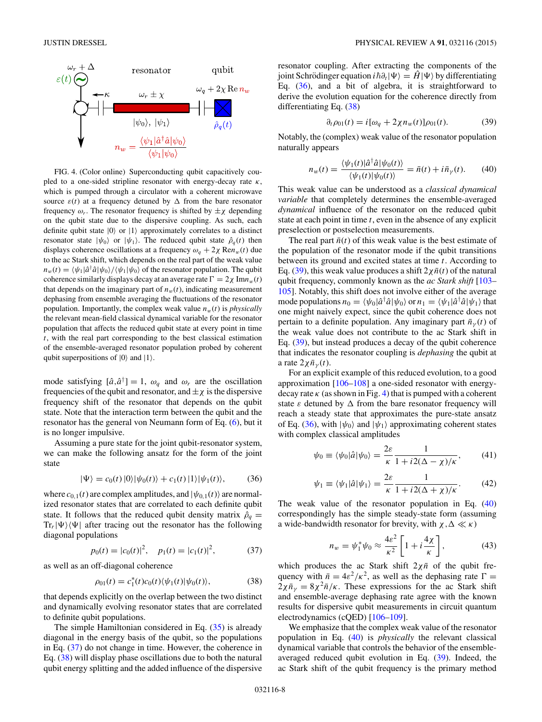<span id="page-9-0"></span>

FIG. 4. (Color online) Superconducting qubit capacitively coupled to a one-sided stripline resonator with energy-decay rate *κ*, which is pumped through a circulator with a coherent microwave source  $\varepsilon(t)$  at a frequency detuned by  $\Delta$  from the bare resonator frequency  $\omega_r$ . The resonator frequency is shifted by  $\pm \chi$  depending on the qubit state due to the dispersive coupling. As such, each definite qubit state  $|0\rangle$  or  $|1\rangle$  approximately correlates to a distinct resonator state  $|\psi_0\rangle$  or  $|\psi_1\rangle$ . The reduced qubit state  $\hat{\rho}_q(t)$  then displays coherence oscillations at a frequency  $\omega_q + 2\chi \text{Re}n_w(t)$  due to the ac Stark shift, which depends on the real part of the weak value  $n_w(t) = \langle \psi_1 | \hat{a}^\dagger \hat{a} | \psi_0 \rangle / \langle \psi_1 | \psi_0 \rangle$  of the resonator population. The qubit coherence similarly displays decay at an average rate  $\Gamma = 2\chi \text{Im} n_w(t)$ that depends on the imaginary part of  $n_w(t)$ , indicating measurement dephasing from ensemble averaging the fluctuations of the resonator population. Importantly, the complex weak value  $n_w(t)$  is *physically* the relevant mean-field classical dynamical variable for the resonator population that affects the reduced qubit state at every point in time *t*, with the real part corresponding to the best classical estimation of the ensemble-averaged resonator population probed by coherent qubit superpositions of  $|0\rangle$  and  $|1\rangle$ .

mode satisfying  $[\hat{a}, \hat{a}^{\dagger}] = 1$ ,  $\omega_q$  and  $\omega_r$  are the oscillation frequencies of the qubit and resonator, and  $\pm \chi$  is the dispersive frequency shift of the resonator that depends on the qubit state. Note that the interaction term between the qubit and the resonator has the general von Neumann form of Eq. [\(6\)](#page-5-0), but it is no longer impulsive.

Assuming a pure state for the joint qubit-resonator system, we can make the following ansatz for the form of the joint state

$$
|\Psi\rangle = c_0(t) |0\rangle |\psi_0(t)\rangle + c_1(t) |1\rangle |\psi_1(t)\rangle, \qquad (36)
$$

where  $c_{0,1}(t)$  are complex amplitudes, and  $|\psi_{0,1}(t)\rangle$  are normalized resonator states that are correlated to each definite qubit state. It follows that the reduced qubit density matrix  $\hat{\rho}_q =$  $\text{Tr}_r|\Psi\rangle\langle\Psi|$  after tracing out the resonator has the following diagonal populations

$$
p_0(t) = |c_0(t)|^2, \quad p_1(t) = |c_1(t)|^2, \tag{37}
$$

as well as an off-diagonal coherence

$$
\rho_{01}(t) = c_1^*(t)c_0(t)\langle \psi_1(t)|\psi_0(t)\rangle, \tag{38}
$$

that depends explicitly on the overlap between the two distinct and dynamically evolving resonator states that are correlated to definite qubit populations.

The simple Hamiltonian considered in Eq.  $(35)$  is already diagonal in the energy basis of the qubit, so the populations in Eq. (37) do not change in time. However, the coherence in Eq. (38) will display phase oscillations due to both the natural qubit energy splitting and the added influence of the dispersive resonator coupling. After extracting the components of the joint Schrödinger equation  $i\hbar\partial_t|\Psi\rangle = \hat{H}|\Psi\rangle$  by differentiating Eq. (36), and a bit of algebra, it is straightforward to derive the evolution equation for the coherence directly from differentiating Eq. (38)

$$
\partial_t \rho_{01}(t) = i[\omega_q + 2\chi n_w(t)]\rho_{01}(t). \tag{39}
$$

Notably, the (complex) weak value of the resonator population naturally appears

$$
n_w(t) = \frac{\langle \psi_1(t) | \hat{a}^\dagger \hat{a} | \psi_0(t) \rangle}{\langle \psi_1(t) | \psi_0(t) \rangle} = \bar{n}(t) + i\bar{n}_\gamma(t). \tag{40}
$$

This weak value can be understood as a *classical dynamical variable* that completely determines the ensemble-averaged *dynamical* influence of the resonator on the reduced qubit state at each point in time *t*, even in the absence of any explicit preselection or postselection measurements.

The real part  $\bar{n}(t)$  of this weak value is the best estimate of the population of the resonator mode if the qubit transitions between its ground and excited states at time *t*. According to Eq. (39), this weak value produces a shift  $2\chi \bar{n}(t)$  of the natural qubit frequency, commonly known as the *ac Stark shift* [\[103–](#page-15-0) [105\]](#page-15-0). Notably, this shift does not involve either of the average mode populations  $n_0 = \langle \psi_0 | \hat{a}^\dagger \hat{a} | \psi_0 \rangle$  or  $n_1 = \langle \psi_1 | \hat{a}^\dagger \hat{a} | \psi_1 \rangle$  that one might naively expect, since the qubit coherence does not pertain to a definite population. Any imaginary part  $\bar{n}_{\gamma}(t)$  of the weak value does not contribute to the ac Stark shift in Eq. (39), but instead produces a decay of the qubit coherence that indicates the resonator coupling is *dephasing* the qubit at a rate  $2\chi\bar{n}_γ(t)$ .

For an explicit example of this reduced evolution, to a good approximation [\[106–108\]](#page-15-0) a one-sided resonator with energydecay rate  $\kappa$  (as shown in Fig. 4) that is pumped with a coherent state  $\varepsilon$  detuned by  $\Delta$  from the bare resonator frequency will reach a steady state that approximates the pure-state ansatz of Eq. (36), with  $|\psi_0\rangle$  and  $|\psi_1\rangle$  approximating coherent states with complex classical amplitudes

$$
\psi_0 \equiv \langle \psi_0 | \hat{a} | \psi_0 \rangle = \frac{2\varepsilon}{\kappa} \frac{1}{1 + i2(\Delta - \chi)/\kappa},\tag{41}
$$

$$
\psi_1 \equiv \langle \psi_1 | \hat{a} | \psi_1 \rangle = \frac{2\varepsilon}{\kappa} \frac{1}{1 + i2(\Delta + \chi)/\kappa}.
$$
 (42)

The weak value of the resonator population in Eq. (40) correspondingly has the simple steady-state form (assuming a wide-bandwidth resonator for brevity, with  $\chi, \Delta \ll \kappa$ )

$$
n_w = \psi_1^* \psi_0 \approx \frac{4\varepsilon^2}{\kappa^2} \left[ 1 + i \frac{4\chi}{\kappa} \right],\tag{43}
$$

which produces the ac Stark shift  $2x\bar{n}$  of the qubit frequency with  $\bar{n} = 4\varepsilon^2/\kappa^2$ , as well as the dephasing rate  $\Gamma =$  $2\chi\bar{n}_{\nu}=8\chi^2\bar{n}/\kappa$ . These expressions for the ac Stark shift and ensemble-average dephasing rate agree with the known results for dispersive qubit measurements in circuit quantum electrodynamics (cQED) [\[106–109\]](#page-15-0).

We emphasize that the complex weak value of the resonator population in Eq. (40) is *physically* the relevant classical dynamical variable that controls the behavior of the ensembleaveraged reduced qubit evolution in Eq. (39). Indeed, the ac Stark shift of the qubit frequency is the primary method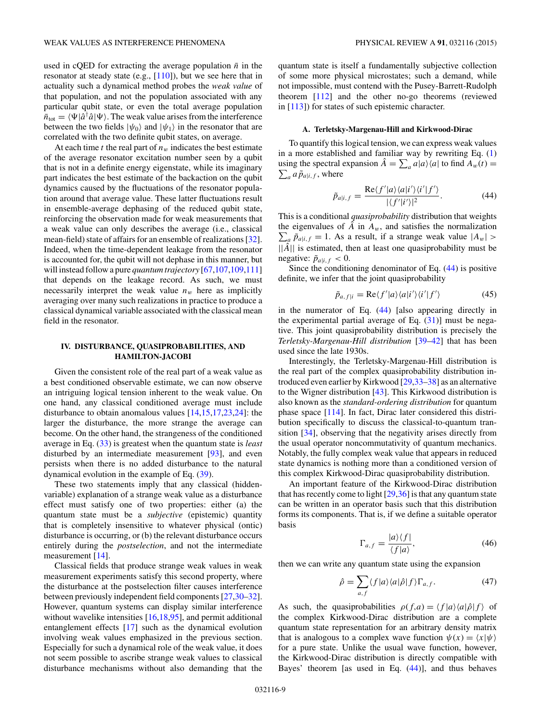<span id="page-10-0"></span>used in cQED for extracting the average population  $\bar{n}$  in the resonator at steady state (e.g., [\[110\]](#page-15-0)), but we see here that in actuality such a dynamical method probes the *weak value* of that population, and not the population associated with any particular qubit state, or even the total average population  $\bar{n}_{\text{tot}} = \langle \Psi | \hat{a}^\dagger \hat{a} | \Psi \rangle$ . The weak value arises from the interference between the two fields  $|\psi_0\rangle$  and  $|\psi_1\rangle$  in the resonator that are correlated with the two definite qubit states, on average.

At each time  $t$  the real part of  $n_w$  indicates the best estimate of the average resonator excitation number seen by a qubit that is not in a definite energy eigenstate, while its imaginary part indicates the best estimate of the backaction on the qubit dynamics caused by the fluctuations of the resonator population around that average value. These latter fluctuations result in ensemble-average dephasing of the reduced qubit state, reinforcing the observation made for weak measurements that a weak value can only describes the average (i.e., classical mean-field) state of affairs for an ensemble of realizations [\[32\]](#page-13-0). Indeed, when the time-dependent leakage from the resonator is accounted for, the qubit will not dephase in this manner, but will instead follow a pure *quantum trajectory* [\[67,](#page-14-0)[107,109,111\]](#page-15-0) that depends on the leakage record. As such, we must necessarily interpret the weak value  $n_w$  here as implicitly averaging over many such realizations in practice to produce a classical dynamical variable associated with the classical mean field in the resonator.

#### **IV. DISTURBANCE, QUASIPROBABILITIES, AND HAMILTON-JACOBI**

Given the consistent role of the real part of a weak value as a best conditioned observable estimate, we can now observe an intriguing logical tension inherent to the weak value. On one hand, any classical conditioned average must include disturbance to obtain anomalous values [\[14,15,17,23,24\]](#page-13-0): the larger the disturbance, the more strange the average can become. On the other hand, the strangeness of the conditioned average in Eq. [\(33\)](#page-8-0) is greatest when the quantum state is *least* disturbed by an intermediate measurement [\[93\]](#page-15-0), and even persists when there is no added disturbance to the natural dynamical evolution in the example of Eq. [\(39\)](#page-9-0).

These two statements imply that any classical (hiddenvariable) explanation of a strange weak value as a disturbance effect must satisfy one of two properties: either (a) the quantum state must be a *subjective* (epistemic) quantity that is completely insensitive to whatever physical (ontic) disturbance is occurring, or (b) the relevant disturbance occurs entirely during the *postselection*, and not the intermediate measurement [\[14\]](#page-13-0).

Classical fields that produce strange weak values in weak measurement experiments satisfy this second property, where the disturbance at the postselection filter causes interference between previously independent field components [\[27,30–32\]](#page-13-0). However, quantum systems can display similar interference without wavelike intensities [\[16,18](#page-13-0)[,95\]](#page-15-0), and permit additional entanglement effects [\[17\]](#page-13-0) such as the dynamical evolution involving weak values emphasized in the previous section. Especially for such a dynamical role of the weak value, it does not seem possible to ascribe strange weak values to classical disturbance mechanisms without also demanding that the quantum state is itself a fundamentally subjective collection of some more physical microstates; such a demand, while not impossible, must contend with the Pusey-Barrett-Rudolph theorem [\[112\]](#page-15-0) and the other no-go theorems (reviewed in [\[113\]](#page-15-0)) for states of such epistemic character.

#### **A. Terletsky-Margenau-Hill and Kirkwood-Dirac**

To quantify this logical tension, we can express weak values in a more established and familiar way by rewriting Eq. [\(1\)](#page-3-0) using the spectral expansion  $\hat{A} = \sum_{a} a |a\rangle\langle a|$  to find  $A_w(t) =$  $\sum_{a} a \tilde{p}_{a|i,f}$ , where

$$
\tilde{p}_{a|i,f} = \frac{\operatorname{Re}\langle f'|a\rangle\langle a|i'\rangle\langle i'|f'\rangle}{|\langle f'|i'\rangle|^2}.
$$
\n(44)

This is a conditional *quasiprobability* distribution that weights the eigenvalues of  $\hat{A}$  in  $A_w$ , and satisfies the normalization  $\sum_{a} \tilde{p}_{a|i,f} = 1$ . As a result, if a strange weak value  $|A_w| >$  $||\hat{A}||$  is estimated, then at least one quasiprobability must be negative:  $\tilde{p}_{a|i,f} < 0$ .

Since the conditioning denominator of Eq. (44) is positive definite, we infer that the joint quasiprobability

$$
\tilde{p}_{a,f|i} = \text{Re}\langle f'|a\rangle\langle a|i'\rangle\langle i'|f'\rangle\tag{45}
$$

in the numerator of Eq. (44) [also appearing directly in the experimental partial average of Eq. [\(31\)](#page-8-0)] must be negative. This joint quasiprobability distribution is precisely the *Terletsky-Margenau-Hill distribution* [\[39–42\]](#page-13-0) that has been used since the late 1930s.

Interestingly, the Terletsky-Margenau-Hill distribution is the real part of the complex quasiprobability distribution introduced even earlier by Kirkwood [\[29,33–38\]](#page-13-0) as an alternative to the Wigner distribution [\[43\]](#page-13-0). This Kirkwood distribution is also known as the *standard-ordering distribution* for quantum phase space [\[114\]](#page-15-0). In fact, Dirac later considered this distribution specifically to discuss the classical-to-quantum transition [\[34\]](#page-13-0), observing that the negativity arises directly from the usual operator noncommutativity of quantum mechanics. Notably, the fully complex weak value that appears in reduced state dynamics is nothing more than a conditioned version of this complex Kirkwood-Dirac quasiprobability distribution.

An important feature of the Kirkwood-Dirac distribution that has recently come to light  $[29,36]$  is that any quantum state can be written in an operator basis such that this distribution forms its components. That is, if we define a suitable operator basis

$$
\Gamma_{a,f} = \frac{|a\rangle\langle f|}{\langle f|a\rangle},\tag{46}
$$

then we can write any quantum state using the expansion

$$
\hat{\rho} = \sum_{a,f} \langle f | a \rangle \langle a | \hat{\rho} | f \rangle \Gamma_{a,f}.
$$
 (47)

As such, the quasiprobabilities  $\rho(f,a) = \langle f | a \rangle \langle a | \hat{\rho} | f \rangle$  of the complex Kirkwood-Dirac distribution are a complete quantum state representation for an arbitrary density matrix that is analogous to a complex wave function  $\psi(x) = \langle x | \psi \rangle$ for a pure state. Unlike the usual wave function, however, the Kirkwood-Dirac distribution is directly compatible with Bayes' theorem [as used in Eq. (44)], and thus behaves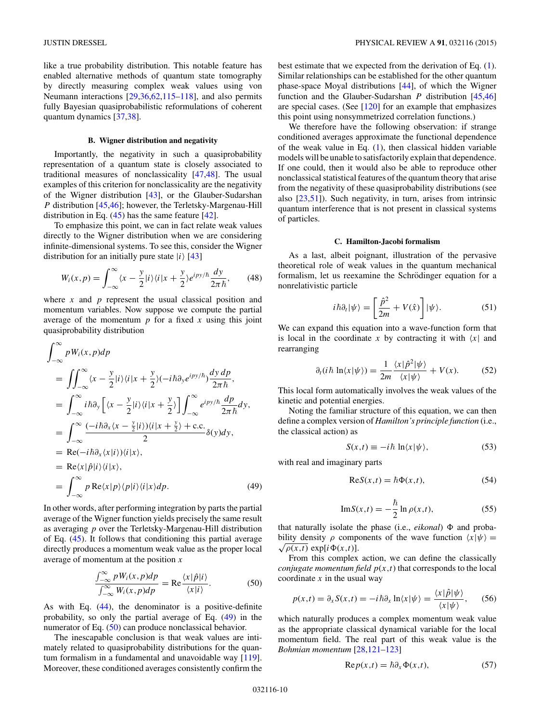<span id="page-11-0"></span>like a true probability distribution. This notable feature has enabled alternative methods of quantum state tomography by directly measuring complex weak values using von Neumann interactions [\[29,36,](#page-13-0)[62,](#page-14-0)[115–118\]](#page-15-0), and also permits fully Bayesian quasiprobabilistic reformulations of coherent quantum dynamics [\[37,38\]](#page-13-0).

#### **B. Wigner distribution and negativity**

Importantly, the negativity in such a quasiprobability representation of a quantum state is closely associated to traditional measures of nonclassicality [\[47,](#page-13-0)[48\]](#page-14-0). The usual examples of this criterion for nonclassicality are the negativity of the Wigner distribution [\[43\]](#page-13-0), or the Glauber-Sudarshan *P* distribution [\[45,46\]](#page-13-0); however, the Terletsky-Margenau-Hill distribution in Eq.  $(45)$  has the same feature  $[42]$ .

To emphasize this point, we can in fact relate weak values directly to the Wigner distribution when we are considering infinite-dimensional systems. To see this, consider the Wigner distribution for an initially pure state  $|i\rangle$  [\[43\]](#page-13-0)

$$
W_i(x,p) = \int_{-\infty}^{\infty} \langle x - \frac{y}{2} | i \rangle \langle i | x + \frac{y}{2} \rangle e^{i p y / \hbar} \frac{dy}{2\pi \hbar}, \qquad (48)
$$

where *x* and *p* represent the usual classical position and momentum variables. Now suppose we compute the partial average of the momentum  $p$  for a fixed  $x$  using this joint quasiprobability distribution

$$
\int_{-\infty}^{\infty} p W_i(x, p) dp
$$
\n
$$
= \iint_{-\infty}^{\infty} \langle x - \frac{y}{2} | i \rangle \langle i | x + \frac{y}{2} \rangle \langle -i \hbar \partial_y e^{ipy/\hbar} \rangle \frac{dy \, dp}{2\pi \hbar},
$$
\n
$$
= \int_{-\infty}^{\infty} i \hbar \partial_y \left[ \langle x - \frac{y}{2} | i \rangle \langle i | x + \frac{y}{2} \rangle \right] \int_{-\infty}^{\infty} e^{ipy/\hbar} \frac{dp}{2\pi \hbar} dy,
$$
\n
$$
= \int_{-\infty}^{\infty} \frac{(-i \hbar \partial_x \langle x - \frac{y}{2} | i \rangle) \langle i | x + \frac{y}{2} \rangle + \text{c.c.}}{2} \delta(y) dy,
$$
\n
$$
= \text{Re}(-i \hbar \partial_x \langle x | i \rangle) \langle i | x \rangle,
$$
\n
$$
= \text{Re}(x|\hat{p}|i \rangle \langle i | x \rangle,
$$
\n
$$
= \int_{-\infty}^{\infty} p \text{Re}\langle x | p \rangle \langle p | i \rangle \langle i | x \rangle dp.
$$
\n(49)

In other words, after performing integration by parts the partial average of the Wigner function yields precisely the same result as averaging *p* over the Terletsky-Margenau-Hill distribution of Eq. [\(45\)](#page-10-0). It follows that conditioning this partial average directly produces a momentum weak value as the proper local average of momentum at the position *x*

$$
\frac{\int_{-\infty}^{\infty} p W_i(x, p) dp}{\int_{-\infty}^{\infty} W_i(x, p) dp} = \text{Re} \frac{\langle x | \hat{p} | i \rangle}{\langle x | i \rangle}.
$$
 (50)

As with Eq. [\(44\)](#page-10-0), the denominator is a positive-definite probability, so only the partial average of Eq. (49) in the numerator of Eq. (50) can produce nonclassical behavior.

The inescapable conclusion is that weak values are intimately related to quasiprobability distributions for the quantum formalism in a fundamental and unavoidable way [\[119\]](#page-15-0). Moreover, these conditioned averages consistently confirm the best estimate that we expected from the derivation of Eq. [\(1\)](#page-3-0). Similar relationships can be established for the other quantum phase-space Moyal distributions [\[44\]](#page-13-0), of which the Wigner function and the Glauber-Sudarshan *P* distribution [\[45,46\]](#page-13-0) are special cases. (See [\[120\]](#page-15-0) for an example that emphasizes this point using nonsymmetrized correlation functions.)

We therefore have the following observation: if strange conditioned averages approximate the functional dependence of the weak value in Eq.  $(1)$ , then classical hidden variable models will be unable to satisfactorily explain that dependence. If one could, then it would also be able to reproduce other nonclassical statistical features of the quantum theory that arise from the negativity of these quasiprobability distributions (see also [\[23](#page-13-0)[,51\]](#page-14-0)). Such negativity, in turn, arises from intrinsic quantum interference that is not present in classical systems of particles.

#### **C. Hamilton-Jacobi formalism**

As a last, albeit poignant, illustration of the pervasive theoretical role of weak values in the quantum mechanical formalism, let us reexamine the Schrödinger equation for a nonrelativistic particle

$$
i\hbar \partial_t |\psi\rangle = \left[ \frac{\hat{p}^2}{2m} + V(\hat{x}) \right] |\psi\rangle. \tag{51}
$$

We can expand this equation into a wave-function form that is local in the coordinate  $x$  by contracting it with  $\langle x |$  and rearranging

$$
\partial_t(i\hbar \ln\langle x|\psi\rangle) = \frac{1}{2m} \frac{\langle x|\hat{p}^2|\psi\rangle}{\langle x|\psi\rangle} + V(x). \tag{52}
$$

This local form automatically involves the weak values of the kinetic and potential energies.

Noting the familiar structure of this equation, we can then define a complex version of *Hamilton's principle function* (i.e., the classical action) as

$$
S(x,t) \equiv -i\hbar \ln\langle x|\psi\rangle, \tag{53}
$$

with real and imaginary parts

$$
Re S(x,t) = \hbar \Phi(x,t),
$$
\n(54)

$$
\text{Im}S(x,t) = -\frac{\hbar}{2}\ln \rho(x,t),\tag{55}
$$

that naturally isolate the phase (i.e., *eikonal*)  $\Phi$  and probability density  $\rho$  components of the wave function  $\langle x | \psi \rangle =$  $\sqrt{\rho(x,t)}$  exp[ $i\Phi(x,t)$ ].

From this complex action, we can define the classically *conjugate momentum field*  $p(x,t)$  that corresponds to the local coordinate  $x$  in the usual way

$$
p(x,t) = \partial_x S(x,t) = -i\hbar \partial_x \ln \langle x | \psi \rangle = \frac{\langle x | \hat{p} | \psi \rangle}{\langle x | \psi \rangle}, \qquad (56)
$$

which naturally produces a complex momentum weak value as the appropriate classical dynamical variable for the local momentum field. The real part of this weak value is the *Bohmian momentum* [\[28](#page-13-0)[,121–123\]](#page-15-0)

$$
Re p(x,t) = \hbar \partial_x \Phi(x,t), \qquad (57)
$$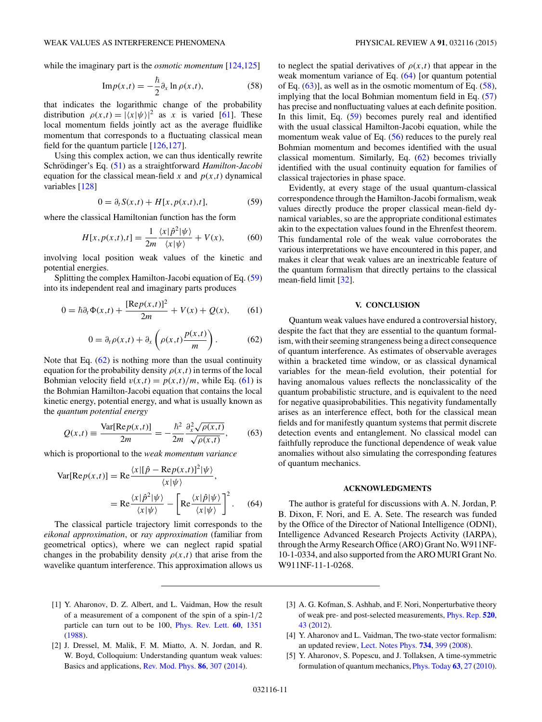<span id="page-12-0"></span>while the imaginary part is the *osmotic momentum* [\[124,125\]](#page-15-0)

$$
\mathrm{Im}p(x,t) = -\frac{\hbar}{2}\partial_x \ln \rho(x,t),\tag{58}
$$

that indicates the logarithmic change of the probability distribution  $\rho(x,t) = |\langle x | \psi \rangle|^2$  as *x* is varied [\[61\]](#page-14-0). These local momentum fields jointly act as the average fluidlike momentum that corresponds to a fluctuating classical mean field for the quantum particle [\[126,127\]](#page-15-0).

Using this complex action, we can thus identically rewrite Schrödinger's Eq. ([51\)](#page-11-0) as a straightforward *Hamilton-Jacobi* equation for the classical mean-field  $x$  and  $p(x,t)$  dynamical variables [\[128\]](#page-15-0)

$$
0 = \partial_t S(x, t) + H[x, p(x, t), t], \tag{59}
$$

where the classical Hamiltonian function has the form

$$
H[x, p(x,t), t] = \frac{1}{2m} \frac{\langle x|\hat{p}^2|\psi\rangle}{\langle x|\psi\rangle} + V(x), \tag{60}
$$

involving local position weak values of the kinetic and potential energies.

Splitting the complex Hamilton-Jacobi equation of Eq. (59) into its independent real and imaginary parts produces

$$
0 = \hbar \partial_t \Phi(x, t) + \frac{[\text{Re}p(x, t)]^2}{2m} + V(x) + Q(x), \qquad (61)
$$

$$
0 = \partial_t \rho(x, t) + \partial_x \left( \rho(x, t) \frac{p(x, t)}{m} \right). \tag{62}
$$

Note that Eq. (62) is nothing more than the usual continuity equation for the probability density  $\rho(x,t)$  in terms of the local Bohmian velocity field  $v(x,t) = p(x,t)/m$ , while Eq. (61) is the Bohmian Hamilton-Jacobi equation that contains the local kinetic energy, potential energy, and what is usually known as the *quantum potential energy*

$$
Q(x,t) \equiv \frac{\text{Var}[\text{Re}p(x,t)]}{2m} = -\frac{\hbar^2}{2m} \frac{\partial_x^2 \sqrt{\rho(x,t)}}{\sqrt{\rho(x,t)}},\qquad(63)
$$

which is proportional to the *weak momentum variance*

$$
\text{Var}[\text{Re}p(x,t)] = \text{Re}\frac{\langle x|[\hat{p} - \text{Re}p(x,t)]^2|\psi\rangle}{\langle x|\psi\rangle},
$$

$$
= \text{Re}\frac{\langle x|\hat{p}^2|\psi\rangle}{\langle x|\psi\rangle} - \left[\text{Re}\frac{\langle x|\hat{p}|\psi\rangle}{\langle x|\psi\rangle}\right]^2. \quad (64)
$$

The classical particle trajectory limit corresponds to the *eikonal approximation*, or *ray approximation* (familiar from geometrical optics), where we can neglect rapid spatial changes in the probability density  $\rho(x,t)$  that arise from the wavelike quantum interference. This approximation allows us

to neglect the spatial derivatives of  $\rho(x,t)$  that appear in the weak momentum variance of Eq. (64) [or quantum potential of Eq.  $(63)$ ], as well as in the osmotic momentum of Eq.  $(58)$ , implying that the local Bohmian momentum field in Eq. [\(57\)](#page-11-0) has precise and nonfluctuating values at each definite position. In this limit, Eq. (59) becomes purely real and identified with the usual classical Hamilton-Jacobi equation, while the momentum weak value of Eq. [\(56\)](#page-11-0) reduces to the purely real Bohmian momentum and becomes identified with the usual classical momentum. Similarly, Eq. (62) becomes trivially identified with the usual continuity equation for families of classical trajectories in phase space.

Evidently, at every stage of the usual quantum-classical correspondence through the Hamilton-Jacobi formalism, weak values directly produce the proper classical mean-field dynamical variables, so are the appropriate conditional estimates akin to the expectation values found in the Ehrenfest theorem. This fundamental role of the weak value corroborates the various interpretations we have encountered in this paper, and makes it clear that weak values are an inextricable feature of the quantum formalism that directly pertains to the classical mean-field limit [\[32\]](#page-13-0).

#### **V. CONCLUSION**

Quantum weak values have endured a controversial history, despite the fact that they are essential to the quantum formalism, with their seeming strangeness being a direct consequence of quantum interference. As estimates of observable averages within a bracketed time window, or as classical dynamical variables for the mean-field evolution, their potential for having anomalous values reflects the nonclassicality of the quantum probabilistic structure, and is equivalent to the need for negative quasiprobabilities. This negativity fundamentally arises as an interference effect, both for the classical mean fields and for manifestly quantum systems that permit discrete detection events and entanglement. No classical model can faithfully reproduce the functional dependence of weak value anomalies without also simulating the corresponding features of quantum mechanics.

#### **ACKNOWLEDGMENTS**

The author is grateful for discussions with A. N. Jordan, P. B. Dixon, F. Nori, and E. A. Sete. The research was funded by the Office of the Director of National Intelligence (ODNI), Intelligence Advanced Research Projects Activity (IARPA), through the Army Research Office (ARO) Grant No. W911NF-10-1-0334, and also supported from the ARO MURI Grant No. W911NF-11-1-0268.

- [1] Y. Aharonov, D. Z. Albert, and L. Vaidman, How the result of a measurement of a component of the spin of a spin-1*/*2 particle can turn out to be 100, [Phys. Rev. Lett.](http://dx.doi.org/10.1103/PhysRevLett.60.1351) **[60](http://dx.doi.org/10.1103/PhysRevLett.60.1351)**, [1351](http://dx.doi.org/10.1103/PhysRevLett.60.1351) [\(1988\)](http://dx.doi.org/10.1103/PhysRevLett.60.1351).
- [2] J. Dressel, M. Malik, F. M. Miatto, A. N. Jordan, and R. W. Boyd, Colloquium: Understanding quantum weak values: Basics and applications, [Rev. Mod. Phys.](http://dx.doi.org/10.1103/RevModPhys.86.307) **[86](http://dx.doi.org/10.1103/RevModPhys.86.307)**, [307](http://dx.doi.org/10.1103/RevModPhys.86.307) [\(2014\)](http://dx.doi.org/10.1103/RevModPhys.86.307).
- [3] A. G. Kofman, S. Ashhab, and F. Nori, Nonperturbative theory of weak pre- and post-selected measurements, [Phys. Rep.](http://dx.doi.org/10.1016/j.physrep.2012.07.001) **[520](http://dx.doi.org/10.1016/j.physrep.2012.07.001)**, [43](http://dx.doi.org/10.1016/j.physrep.2012.07.001) [\(2012\)](http://dx.doi.org/10.1016/j.physrep.2012.07.001).
- [4] Y. Aharonov and L. Vaidman, The two-state vector formalism: an updated review, [Lect. Notes Phys.](http://dx.doi.org/10.1007/978-3-540-73473-413) **[734](http://dx.doi.org/10.1007/978-3-540-73473-413)**, [399](http://dx.doi.org/10.1007/978-3-540-73473-413) [\(2008\)](http://dx.doi.org/10.1007/978-3-540-73473-413).
- [5] Y. Aharonov, S. Popescu, and J. Tollaksen, A time-symmetric formulation of quantum mechanics, [Phys. Today](http://dx.doi.org/10.1063/1.3518209) **[63](http://dx.doi.org/10.1063/1.3518209)**, [27](http://dx.doi.org/10.1063/1.3518209) [\(2010\)](http://dx.doi.org/10.1063/1.3518209).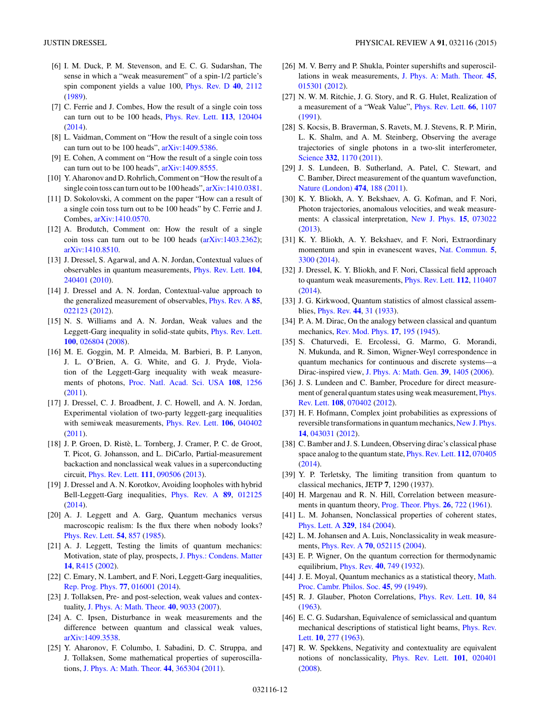- <span id="page-13-0"></span>[6] I. M. Duck, P. M. Stevenson, and E. C. G. Sudarshan, The sense in which a "weak measurement" of a spin-1/2 particle's spin component yields a value 100, [Phys. Rev. D](http://dx.doi.org/10.1103/PhysRevD.40.2112) **[40](http://dx.doi.org/10.1103/PhysRevD.40.2112)**, [2112](http://dx.doi.org/10.1103/PhysRevD.40.2112) [\(1989\)](http://dx.doi.org/10.1103/PhysRevD.40.2112).
- [7] C. Ferrie and J. Combes, How the result of a single coin toss can turn out to be 100 heads, [Phys. Rev. Lett.](http://dx.doi.org/10.1103/PhysRevLett.113.120404) **[113](http://dx.doi.org/10.1103/PhysRevLett.113.120404)**, [120404](http://dx.doi.org/10.1103/PhysRevLett.113.120404) [\(2014\)](http://dx.doi.org/10.1103/PhysRevLett.113.120404).
- [8] L. Vaidman, Comment on "How the result of a single coin toss" can turn out to be 100 heads", [arXiv:1409.5386.](http://arxiv.org/abs/arXiv:1409.5386)
- [9] E. Cohen, A comment on "How the result of a single coin toss can turn out to be 100 heads", [arXiv:1409.8555.](http://arxiv.org/abs/arXiv:1409.8555)
- [10] Y. Aharonov and D. Rohrlich, Comment on "How the result of a single coin toss can turn out to be 100 heads", [arXiv:1410.0381.](http://arxiv.org/abs/arXiv:1410.0381)
- [11] D. Sokolovski, A comment on the paper "How can a result of a single coin toss turn out to be 100 heads" by C. Ferrie and J. Combes, [arXiv:1410.0570.](http://arxiv.org/abs/arXiv:1410.0570)
- [12] A. Brodutch, Comment on: How the result of a single coin toss can turn out to be 100 heads [\(arXiv:1403.2362\)](http://arxiv.org/abs/arXiv:1403.2362); [arXiv:1410.8510.](http://arxiv.org/abs/arXiv:1410.8510)
- [13] J. Dressel, S. Agarwal, and A. N. Jordan, Contextual values of observables in quantum measurements, [Phys. Rev. Lett.](http://dx.doi.org/10.1103/PhysRevLett.104.240401) **[104](http://dx.doi.org/10.1103/PhysRevLett.104.240401)**, [240401](http://dx.doi.org/10.1103/PhysRevLett.104.240401) [\(2010\)](http://dx.doi.org/10.1103/PhysRevLett.104.240401).
- [14] J. Dressel and A. N. Jordan, Contextual-value approach to the generalized measurement of observables, [Phys. Rev. A](http://dx.doi.org/10.1103/PhysRevA.85.022123) **[85](http://dx.doi.org/10.1103/PhysRevA.85.022123)**, [022123](http://dx.doi.org/10.1103/PhysRevA.85.022123) [\(2012\)](http://dx.doi.org/10.1103/PhysRevA.85.022123).
- [15] N. S. Williams and A. N. Jordan, Weak values and the Leggett-Garg inequality in solid-state qubits, [Phys. Rev. Lett.](http://dx.doi.org/10.1103/PhysRevLett.100.026804) **[100](http://dx.doi.org/10.1103/PhysRevLett.100.026804)**, [026804](http://dx.doi.org/10.1103/PhysRevLett.100.026804) [\(2008\)](http://dx.doi.org/10.1103/PhysRevLett.100.026804).
- [16] M. E. Goggin, M. P. Almeida, M. Barbieri, B. P. Lanyon, J. L. O'Brien, A. G. White, and G. J. Pryde, Violation of the Leggett-Garg inequality with weak measurements of photons, [Proc. Natl. Acad. Sci. USA](http://dx.doi.org/10.1073/pnas.1005774108) **[108](http://dx.doi.org/10.1073/pnas.1005774108)**, [1256](http://dx.doi.org/10.1073/pnas.1005774108) [\(2011\)](http://dx.doi.org/10.1073/pnas.1005774108).
- [17] J. Dressel, C. J. Broadbent, J. C. Howell, and A. N. Jordan, Experimental violation of two-party leggett-garg inequalities with semiweak measurements, [Phys. Rev. Lett.](http://dx.doi.org/10.1103/PhysRevLett.106.040402) **[106](http://dx.doi.org/10.1103/PhysRevLett.106.040402)**, [040402](http://dx.doi.org/10.1103/PhysRevLett.106.040402) [\(2011\)](http://dx.doi.org/10.1103/PhysRevLett.106.040402).
- [18] J. P. Groen, D. Ristè, L. Tornberg, J. Cramer, P. C. de Groot, T. Picot, G. Johansson, and L. DiCarlo, Partial-measurement backaction and nonclassical weak values in a superconducting circuit, [Phys. Rev. Lett.](http://dx.doi.org/10.1103/PhysRevLett.111.090506) **[111](http://dx.doi.org/10.1103/PhysRevLett.111.090506)**, [090506](http://dx.doi.org/10.1103/PhysRevLett.111.090506) [\(2013\)](http://dx.doi.org/10.1103/PhysRevLett.111.090506).
- [19] J. Dressel and A. N. Korotkov, Avoiding loopholes with hybrid Bell-Leggett-Garg inequalities, [Phys. Rev. A](http://dx.doi.org/10.1103/PhysRevA.89.012125) **[89](http://dx.doi.org/10.1103/PhysRevA.89.012125)**, [012125](http://dx.doi.org/10.1103/PhysRevA.89.012125) [\(2014\)](http://dx.doi.org/10.1103/PhysRevA.89.012125).
- [20] A. J. Leggett and A. Garg, Quantum mechanics versus macroscopic realism: Is the flux there when nobody looks? [Phys. Rev. Lett.](http://dx.doi.org/10.1103/PhysRevLett.54.857) **[54](http://dx.doi.org/10.1103/PhysRevLett.54.857)**, [857](http://dx.doi.org/10.1103/PhysRevLett.54.857) [\(1985\)](http://dx.doi.org/10.1103/PhysRevLett.54.857).
- [21] A. J. Leggett, Testing the limits of quantum mechanics: Motivation, state of play, prospects, [J. Phys.: Condens. Matter](http://dx.doi.org/10.1088/0953-8984/14/15/201) **[14](http://dx.doi.org/10.1088/0953-8984/14/15/201)**, [R415](http://dx.doi.org/10.1088/0953-8984/14/15/201) [\(2002\)](http://dx.doi.org/10.1088/0953-8984/14/15/201).
- [22] C. Emary, N. Lambert, and F. Nori, Leggett-Garg inequalities, [Rep. Prog. Phys.](http://dx.doi.org/10.1088/0034-4885/77/1/016001) **[77](http://dx.doi.org/10.1088/0034-4885/77/1/016001)**, [016001](http://dx.doi.org/10.1088/0034-4885/77/1/016001) [\(2014\)](http://dx.doi.org/10.1088/0034-4885/77/1/016001).
- [23] J. Tollaksen, Pre- and post-selection, weak values and contextuality, [J. Phys. A: Math. Theor.](http://dx.doi.org/10.1088/1751-8113/40/30/025) **[40](http://dx.doi.org/10.1088/1751-8113/40/30/025)**, [9033](http://dx.doi.org/10.1088/1751-8113/40/30/025) [\(2007\)](http://dx.doi.org/10.1088/1751-8113/40/30/025).
- [24] A. C. Ipsen, Disturbance in weak measurements and the difference between quantum and classical weak values, [arXiv:1409.3538.](http://arxiv.org/abs/arXiv:1409.3538)
- [25] Y. Aharonov, F. Columbo, I. Sabadini, D. C. Struppa, and J. Tollaksen, Some mathematical properties of superoscillations, [J. Phys. A: Math. Theor.](http://dx.doi.org/10.1088/1751-8113/44/36/365304) **[44](http://dx.doi.org/10.1088/1751-8113/44/36/365304)**, [365304](http://dx.doi.org/10.1088/1751-8113/44/36/365304) [\(2011\)](http://dx.doi.org/10.1088/1751-8113/44/36/365304).
- [26] M. V. Berry and P. Shukla, Pointer supershifts and superoscillations in weak measurements, [J. Phys. A: Math. Theor.](http://dx.doi.org/10.1088/1751-8113/45/1/015301) **[45](http://dx.doi.org/10.1088/1751-8113/45/1/015301)**, [015301](http://dx.doi.org/10.1088/1751-8113/45/1/015301) [\(2012\)](http://dx.doi.org/10.1088/1751-8113/45/1/015301).
- [27] N. W. M. Ritchie, J. G. Story, and R. G. Hulet, Realization of a measurement of a "Weak Value", [Phys. Rev. Lett.](http://dx.doi.org/10.1103/PhysRevLett.66.1107) **[66](http://dx.doi.org/10.1103/PhysRevLett.66.1107)**, [1107](http://dx.doi.org/10.1103/PhysRevLett.66.1107) [\(1991\)](http://dx.doi.org/10.1103/PhysRevLett.66.1107).
- [28] S. Kocsis, B. Braverman, S. Ravets, M. J. Stevens, R. P. Mirin, L. K. Shalm, and A. M. Steinberg, Observing the average trajectories of single photons in a two-slit interferometer, [Science](http://dx.doi.org/10.1126/science.1202218) **[332](http://dx.doi.org/10.1126/science.1202218)**, [1170](http://dx.doi.org/10.1126/science.1202218) [\(2011\)](http://dx.doi.org/10.1126/science.1202218).
- [29] J. S. Lundeen, B. Sutherland, A. Patel, C. Stewart, and C. Bamber, Direct measurement of the quantum wavefunction, [Nature \(London\)](http://dx.doi.org/10.1038/nature10120) **[474](http://dx.doi.org/10.1038/nature10120)**, [188](http://dx.doi.org/10.1038/nature10120) [\(2011\)](http://dx.doi.org/10.1038/nature10120).
- [30] K. Y. Bliokh, A. Y. Bekshaev, A. G. Kofman, and F. Nori, Photon trajectories, anomalous velocities, and weak measurements: A classical interpretation, [New J. Phys.](http://dx.doi.org/10.1088/1367-2630/15/7/073022) **[15](http://dx.doi.org/10.1088/1367-2630/15/7/073022)**, [073022](http://dx.doi.org/10.1088/1367-2630/15/7/073022) [\(2013\)](http://dx.doi.org/10.1088/1367-2630/15/7/073022).
- [31] K. Y. Bliokh, A. Y. Bekshaev, and F. Nori, Extraordinary momentum and spin in evanescent waves, [Nat. Commun.](http://dx.doi.org/10.1038/ncomms4300) **[5](http://dx.doi.org/10.1038/ncomms4300)**, [3300](http://dx.doi.org/10.1038/ncomms4300) [\(2014\)](http://dx.doi.org/10.1038/ncomms4300).
- [32] J. Dressel, K. Y. Bliokh, and F. Nori, Classical field approach to quantum weak measurements, [Phys. Rev. Lett.](http://dx.doi.org/10.1103/PhysRevLett.112.110407) **[112](http://dx.doi.org/10.1103/PhysRevLett.112.110407)**, [110407](http://dx.doi.org/10.1103/PhysRevLett.112.110407) [\(2014\)](http://dx.doi.org/10.1103/PhysRevLett.112.110407).
- [33] J. G. Kirkwood, Quantum statistics of almost classical assemblies, [Phys. Rev.](http://dx.doi.org/10.1103/PhysRev.44.31) **[44](http://dx.doi.org/10.1103/PhysRev.44.31)**, [31](http://dx.doi.org/10.1103/PhysRev.44.31) [\(1933\)](http://dx.doi.org/10.1103/PhysRev.44.31).
- [34] P. A. M. Dirac, On the analogy between classical and quantum mechanics, [Rev. Mod. Phys.](http://dx.doi.org/10.1103/RevModPhys.17.195) **[17](http://dx.doi.org/10.1103/RevModPhys.17.195)**, [195](http://dx.doi.org/10.1103/RevModPhys.17.195) [\(1945\)](http://dx.doi.org/10.1103/RevModPhys.17.195).
- [35] S. Chaturvedi, E. Ercolessi, G. Marmo, G. Morandi, N. Mukunda, and R. Simon, Wigner-Weyl correspondence in quantum mechanics for continuous and discrete systems—a Dirac-inspired view, [J. Phys. A: Math. Gen.](http://dx.doi.org/10.1088/0305-4470/39/6/014) **[39](http://dx.doi.org/10.1088/0305-4470/39/6/014)**, [1405](http://dx.doi.org/10.1088/0305-4470/39/6/014) [\(2006\)](http://dx.doi.org/10.1088/0305-4470/39/6/014).
- [36] J. S. Lundeen and C. Bamber, Procedure for direct measure[ment of general quantum states using weak measurement,](http://dx.doi.org/10.1103/PhysRevLett.108.070402) Phys. Rev. Lett. **[108](http://dx.doi.org/10.1103/PhysRevLett.108.070402)**, [070402](http://dx.doi.org/10.1103/PhysRevLett.108.070402) [\(2012\)](http://dx.doi.org/10.1103/PhysRevLett.108.070402).
- [37] H. F. Hofmann, Complex joint probabilities as expressions of reversible transformations in quantum mechanics, [New J. Phys.](http://dx.doi.org/10.1088/1367-2630/14/4/043031) **[14](http://dx.doi.org/10.1088/1367-2630/14/4/043031)**, [043031](http://dx.doi.org/10.1088/1367-2630/14/4/043031) [\(2012\)](http://dx.doi.org/10.1088/1367-2630/14/4/043031).
- [38] C. Bamber and J. S. Lundeen, Observing dirac's classical phase space analog to the quantum state, [Phys. Rev. Lett.](http://dx.doi.org/10.1103/PhysRevLett.112.070405) **[112](http://dx.doi.org/10.1103/PhysRevLett.112.070405)**, [070405](http://dx.doi.org/10.1103/PhysRevLett.112.070405) [\(2014\)](http://dx.doi.org/10.1103/PhysRevLett.112.070405).
- [39] Y. P. Terletsky, The limiting transition from quantum to classical mechanics, JETP **7**, 1290 (1937).
- [40] H. Margenau and R. N. Hill, Correlation between measurements in quantum theory, [Prog. Theor. Phys.](http://dx.doi.org/10.1143/PTP.26.722) **[26](http://dx.doi.org/10.1143/PTP.26.722)**, [722](http://dx.doi.org/10.1143/PTP.26.722) [\(1961\)](http://dx.doi.org/10.1143/PTP.26.722).
- [41] L. M. Johansen, Nonclassical properties of coherent states, [Phys. Lett. A](http://dx.doi.org/10.1016/j.physleta.2004.07.003) **[329](http://dx.doi.org/10.1016/j.physleta.2004.07.003)**, [184](http://dx.doi.org/10.1016/j.physleta.2004.07.003) [\(2004\)](http://dx.doi.org/10.1016/j.physleta.2004.07.003).
- [42] L. M. Johansen and A. Luis, Nonclassicality in weak measurements, [Phys. Rev. A](http://dx.doi.org/10.1103/PhysRevA.70.052115) **[70](http://dx.doi.org/10.1103/PhysRevA.70.052115)**, [052115](http://dx.doi.org/10.1103/PhysRevA.70.052115) [\(2004\)](http://dx.doi.org/10.1103/PhysRevA.70.052115).
- [43] E. P. Wigner, On the quantum correction for thermodynamic equilibrium, [Phys. Rev.](http://dx.doi.org/10.1103/PhysRev.40.749) **[40](http://dx.doi.org/10.1103/PhysRev.40.749)**, [749](http://dx.doi.org/10.1103/PhysRev.40.749) [\(1932\)](http://dx.doi.org/10.1103/PhysRev.40.749).
- [44] [J. E. Moyal, Quantum mechanics as a statistical theory,](http://dx.doi.org/10.1017/S0305004100000487) Math. Proc. Cambr. Philos. Soc. **[45](http://dx.doi.org/10.1017/S0305004100000487)**, [99](http://dx.doi.org/10.1017/S0305004100000487) [\(1949\)](http://dx.doi.org/10.1017/S0305004100000487).
- [45] R. J. Glauber, Photon Correlations, [Phys. Rev. Lett.](http://dx.doi.org/10.1103/PhysRevLett.10.84) **[10](http://dx.doi.org/10.1103/PhysRevLett.10.84)**, [84](http://dx.doi.org/10.1103/PhysRevLett.10.84) [\(1963\)](http://dx.doi.org/10.1103/PhysRevLett.10.84).
- [46] E. C. G. Sudarshan, Equivalence of semiclassical and quantum [mechanical descriptions of statistical light beams,](http://dx.doi.org/10.1103/PhysRevLett.10.277) Phys. Rev. Lett. **[10](http://dx.doi.org/10.1103/PhysRevLett.10.277)**, [277](http://dx.doi.org/10.1103/PhysRevLett.10.277) [\(1963\)](http://dx.doi.org/10.1103/PhysRevLett.10.277).
- [47] R. W. Spekkens, Negativity and contextuality are equivalent notions of nonclassicality, [Phys. Rev. Lett.](http://dx.doi.org/10.1103/PhysRevLett.101.020401) **[101](http://dx.doi.org/10.1103/PhysRevLett.101.020401)**, [020401](http://dx.doi.org/10.1103/PhysRevLett.101.020401) [\(2008\)](http://dx.doi.org/10.1103/PhysRevLett.101.020401).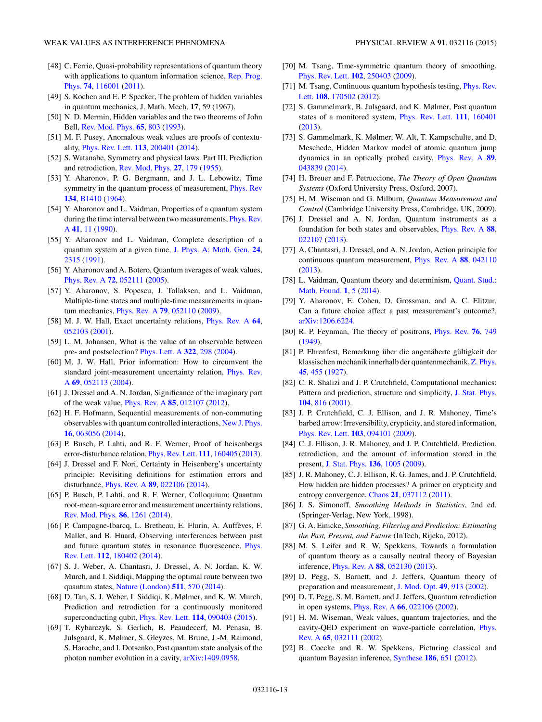- <span id="page-14-0"></span>[48] C. Ferrie, Quasi-probability representations of quantum theory [with applications to quantum information science,](http://dx.doi.org/10.1088/0034-4885/74/11/116001) Rep. Prog. Phys. **[74](http://dx.doi.org/10.1088/0034-4885/74/11/116001)**, [116001](http://dx.doi.org/10.1088/0034-4885/74/11/116001) [\(2011\)](http://dx.doi.org/10.1088/0034-4885/74/11/116001).
- [49] S. Kochen and E. P. Specker, The problem of hidden variables in quantum mechanics, J. Math. Mech. **17**, 59 (1967).
- [50] N. D. Mermin, Hidden variables and the two theorems of John Bell, [Rev. Mod. Phys.](http://dx.doi.org/10.1103/RevModPhys.65.803) **[65](http://dx.doi.org/10.1103/RevModPhys.65.803)**, [803](http://dx.doi.org/10.1103/RevModPhys.65.803) [\(1993\)](http://dx.doi.org/10.1103/RevModPhys.65.803).
- [51] M. F. Pusey, Anomalous weak values are proofs of contextuality, [Phys. Rev. Lett.](http://dx.doi.org/10.1103/PhysRevLett.113.200401) **[113](http://dx.doi.org/10.1103/PhysRevLett.113.200401)**, [200401](http://dx.doi.org/10.1103/PhysRevLett.113.200401) [\(2014\)](http://dx.doi.org/10.1103/PhysRevLett.113.200401).
- [52] S. Watanabe, Symmetry and physical laws. Part III. Prediction and retrodiction, [Rev. Mod. Phys.](http://dx.doi.org/10.1103/RevModPhys.27.179) **[27](http://dx.doi.org/10.1103/RevModPhys.27.179)**, [179](http://dx.doi.org/10.1103/RevModPhys.27.179) [\(1955\)](http://dx.doi.org/10.1103/RevModPhys.27.179).
- [53] Y. Aharonov, P. G. Bergmann, and J. L. Lebowitz, Time symmetry in the quantum process of measurement, *[Phys. Rev](http://dx.doi.org/10.1103/PhysRev.134.B1410)* **[134](http://dx.doi.org/10.1103/PhysRev.134.B1410)**, [B1410](http://dx.doi.org/10.1103/PhysRev.134.B1410) [\(1964\)](http://dx.doi.org/10.1103/PhysRev.134.B1410).
- [54] Y. Aharonov and L. Vaidman, Properties of a quantum system [during the time interval between two measurements,](http://dx.doi.org/10.1103/PhysRevA.41.11) Phys. Rev. A **[41](http://dx.doi.org/10.1103/PhysRevA.41.11)**, [11](http://dx.doi.org/10.1103/PhysRevA.41.11) [\(1990\)](http://dx.doi.org/10.1103/PhysRevA.41.11).
- [55] Y. Aharonov and L. Vaidman, Complete description of a quantum system at a given time, [J. Phys. A: Math. Gen.](http://dx.doi.org/10.1088/0305-4470/24/10/018) **[24](http://dx.doi.org/10.1088/0305-4470/24/10/018)**, [2315](http://dx.doi.org/10.1088/0305-4470/24/10/018) [\(1991\)](http://dx.doi.org/10.1088/0305-4470/24/10/018).
- [56] Y. Aharonov and A. Botero, Quantum averages of weak values, [Phys. Rev. A](http://dx.doi.org/10.1103/PhysRevA.72.052111) **[72](http://dx.doi.org/10.1103/PhysRevA.72.052111)**, [052111](http://dx.doi.org/10.1103/PhysRevA.72.052111) [\(2005\)](http://dx.doi.org/10.1103/PhysRevA.72.052111).
- [57] Y. Aharonov, S. Popescu, J. Tollaksen, and L. Vaidman, Multiple-time states and multiple-time measurements in quantum mechanics, [Phys. Rev. A](http://dx.doi.org/10.1103/PhysRevA.79.052110) **[79](http://dx.doi.org/10.1103/PhysRevA.79.052110)**, [052110](http://dx.doi.org/10.1103/PhysRevA.79.052110) [\(2009\)](http://dx.doi.org/10.1103/PhysRevA.79.052110).
- [58] M. J. W. Hall, Exact uncertainty relations, [Phys. Rev. A](http://dx.doi.org/10.1103/PhysRevA.64.052103) **[64](http://dx.doi.org/10.1103/PhysRevA.64.052103)**, [052103](http://dx.doi.org/10.1103/PhysRevA.64.052103) [\(2001\)](http://dx.doi.org/10.1103/PhysRevA.64.052103).
- [59] L. M. Johansen, What is the value of an observable between pre- and postselection? [Phys. Lett. A](http://dx.doi.org/10.1016/j.physleta.2004.01.041) **[322](http://dx.doi.org/10.1016/j.physleta.2004.01.041)**, [298](http://dx.doi.org/10.1016/j.physleta.2004.01.041) [\(2004\)](http://dx.doi.org/10.1016/j.physleta.2004.01.041).
- [60] M. J. W. Hall, Prior information: How to circumvent the [standard joint-measurement uncertainty relation,](http://dx.doi.org/10.1103/PhysRevA.69.052113) Phys. Rev. A **[69](http://dx.doi.org/10.1103/PhysRevA.69.052113)**, [052113](http://dx.doi.org/10.1103/PhysRevA.69.052113) [\(2004\)](http://dx.doi.org/10.1103/PhysRevA.69.052113).
- [61] J. Dressel and A. N. Jordan, Significance of the imaginary part of the weak value, [Phys. Rev. A](http://dx.doi.org/10.1103/PhysRevA.85.012107) **[85](http://dx.doi.org/10.1103/PhysRevA.85.012107)**, [012107](http://dx.doi.org/10.1103/PhysRevA.85.012107) [\(2012\)](http://dx.doi.org/10.1103/PhysRevA.85.012107).
- [62] H. F. Hofmann, Sequential measurements of non-commuting observables with quantum controlled interactions, [New J. Phys.](http://dx.doi.org/10.1088/1367-2630/16/6/063056) **[16](http://dx.doi.org/10.1088/1367-2630/16/6/063056)**, [063056](http://dx.doi.org/10.1088/1367-2630/16/6/063056) [\(2014\)](http://dx.doi.org/10.1088/1367-2630/16/6/063056).
- [63] P. Busch, P. Lahti, and R. F. Werner, Proof of heisenbergs error-disturbance relation, [Phys. Rev. Lett.](http://dx.doi.org/10.1103/PhysRevLett.111.160405) **[111](http://dx.doi.org/10.1103/PhysRevLett.111.160405)**, [160405](http://dx.doi.org/10.1103/PhysRevLett.111.160405) [\(2013\)](http://dx.doi.org/10.1103/PhysRevLett.111.160405).
- [64] J. Dressel and F. Nori, Certainty in Heisenberg's uncertainty principle: Revisiting definitions for estimation errors and disturbance, [Phys. Rev. A](http://dx.doi.org/10.1103/PhysRevA.89.022106) **[89](http://dx.doi.org/10.1103/PhysRevA.89.022106)**, [022106](http://dx.doi.org/10.1103/PhysRevA.89.022106) [\(2014\)](http://dx.doi.org/10.1103/PhysRevA.89.022106).
- [65] P. Busch, P. Lahti, and R. F. Werner, Colloquium: Quantum root-mean-square error and measurement uncertainty relations, [Rev. Mod. Phys.](http://dx.doi.org/10.1103/RevModPhys.86.1261) **[86](http://dx.doi.org/10.1103/RevModPhys.86.1261)**, [1261](http://dx.doi.org/10.1103/RevModPhys.86.1261) [\(2014\)](http://dx.doi.org/10.1103/RevModPhys.86.1261).
- [66] P. Campagne-Ibarcq, L. Bretheau, E. Flurin, A. Auffeves, F. ` Mallet, and B. Huard, Observing interferences between past [and future quantum states in resonance fluorescence,](http://dx.doi.org/10.1103/PhysRevLett.112.180402) Phys. Rev. Lett. **[112](http://dx.doi.org/10.1103/PhysRevLett.112.180402)**, [180402](http://dx.doi.org/10.1103/PhysRevLett.112.180402) [\(2014\)](http://dx.doi.org/10.1103/PhysRevLett.112.180402).
- [67] S. J. Weber, A. Chantasri, J. Dressel, A. N. Jordan, K. W. Murch, and I. Siddiqi, Mapping the optimal route between two quantum states, [Nature \(London\)](http://dx.doi.org/10.1038/nature13559) **[511](http://dx.doi.org/10.1038/nature13559)**, [570](http://dx.doi.org/10.1038/nature13559) [\(2014\)](http://dx.doi.org/10.1038/nature13559).
- [68] D. Tan, S. J. Weber, I. Siddiqi, K. Mølmer, and K. W. Murch, Prediction and retrodiction for a continuously monitored superconducting qubit, [Phys. Rev. Lett.](http://dx.doi.org/10.1103/PhysRevLett.114.090403) **[114](http://dx.doi.org/10.1103/PhysRevLett.114.090403)**, [090403](http://dx.doi.org/10.1103/PhysRevLett.114.090403) [\(2015\)](http://dx.doi.org/10.1103/PhysRevLett.114.090403).
- [69] T. Rybarczyk, S. Gerlich, B. Peaudecerf, M. Penasa, B. Julsgaard, K. Mølmer, S. Gleyzes, M. Brune, J.-M. Raimond, S. Haroche, and I. Dotsenko, Past quantum state analysis of the photon number evolution in a cavity, [arXiv:1409.0958.](http://arxiv.org/abs/arXiv:1409.0958)
- [70] M. Tsang, Time-symmetric quantum theory of smoothing, [Phys. Rev. Lett.](http://dx.doi.org/10.1103/PhysRevLett.102.250403) **[102](http://dx.doi.org/10.1103/PhysRevLett.102.250403)**, [250403](http://dx.doi.org/10.1103/PhysRevLett.102.250403) [\(2009\)](http://dx.doi.org/10.1103/PhysRevLett.102.250403).
- [71] [M. Tsang, Continuous quantum hypothesis testing,](http://dx.doi.org/10.1103/PhysRevLett.108.170502) Phys. Rev. Lett. **[108](http://dx.doi.org/10.1103/PhysRevLett.108.170502)**, [170502](http://dx.doi.org/10.1103/PhysRevLett.108.170502) [\(2012\)](http://dx.doi.org/10.1103/PhysRevLett.108.170502).
- [72] S. Gammelmark, B. Julsgaard, and K. Mølmer, Past quantum states of a monitored system, [Phys. Rev. Lett.](http://dx.doi.org/10.1103/PhysRevLett.111.160401) **[111](http://dx.doi.org/10.1103/PhysRevLett.111.160401)**, [160401](http://dx.doi.org/10.1103/PhysRevLett.111.160401) [\(2013\)](http://dx.doi.org/10.1103/PhysRevLett.111.160401).
- [73] S. Gammelmark, K. Mølmer, W. Alt, T. Kampschulte, and D. Meschede, Hidden Markov model of atomic quantum jump dynamics in an optically probed cavity, [Phys. Rev. A](http://dx.doi.org/10.1103/PhysRevA.89.043839) **[89](http://dx.doi.org/10.1103/PhysRevA.89.043839)**, [043839](http://dx.doi.org/10.1103/PhysRevA.89.043839) [\(2014\)](http://dx.doi.org/10.1103/PhysRevA.89.043839).
- [74] H. Breuer and F. Petruccione, *The Theory of Open Quantum Systems* (Oxford University Press, Oxford, 2007).
- [75] H. M. Wiseman and G. Milburn, *Quantum Measurement and Control* (Cambridge University Press, Cambridge, UK, 2009).
- [76] J. Dressel and A. N. Jordan, Quantum instruments as a foundation for both states and observables, [Phys. Rev. A](http://dx.doi.org/10.1103/PhysRevA.88.022107) **[88](http://dx.doi.org/10.1103/PhysRevA.88.022107)**, [022107](http://dx.doi.org/10.1103/PhysRevA.88.022107) [\(2013\)](http://dx.doi.org/10.1103/PhysRevA.88.022107).
- [77] A. Chantasri, J. Dressel, and A. N. Jordan, Action principle for continuous quantum measurement, [Phys. Rev. A](http://dx.doi.org/10.1103/PhysRevA.88.042110) **[88](http://dx.doi.org/10.1103/PhysRevA.88.042110)**, [042110](http://dx.doi.org/10.1103/PhysRevA.88.042110) [\(2013\)](http://dx.doi.org/10.1103/PhysRevA.88.042110).
- [78] [L. Vaidman, Quantum theory and determinism,](http://dx.doi.org/10.1007/s40509-014-0008-4) Quant. Stud.: Math. Found. **[1](http://dx.doi.org/10.1007/s40509-014-0008-4)**, [5](http://dx.doi.org/10.1007/s40509-014-0008-4) [\(2014\)](http://dx.doi.org/10.1007/s40509-014-0008-4).
- [79] Y. Aharonov, E. Cohen, D. Grossman, and A. C. Elitzur, Can a future choice affect a past measurement's outcome?, [arXiv:1206.6224.](http://arxiv.org/abs/arXiv:1206.6224)
- [80] R. P. Feynman, The theory of positrons, [Phys. Rev.](http://dx.doi.org/10.1103/PhysRev.76.749) **[76](http://dx.doi.org/10.1103/PhysRev.76.749)**, [749](http://dx.doi.org/10.1103/PhysRev.76.749) [\(1949\)](http://dx.doi.org/10.1103/PhysRev.76.749).
- [81] P. Ehrenfest, Bemerkung über die angenäherte gültigkeit der klassischen mechanik innerhalb der quantenmechanik, [Z. Phys.](http://dx.doi.org/10.1007/BF01329203) **[45](http://dx.doi.org/10.1007/BF01329203)**, [455](http://dx.doi.org/10.1007/BF01329203) [\(1927\)](http://dx.doi.org/10.1007/BF01329203).
- [82] C. R. Shalizi and J. P. Crutchfield, Computational mechanics: Pattern and prediction, structure and simplicity, [J. Stat. Phys.](http://dx.doi.org/10.1023/A:1010388907793) **[104](http://dx.doi.org/10.1023/A:1010388907793)**, [816](http://dx.doi.org/10.1023/A:1010388907793) [\(2001\)](http://dx.doi.org/10.1023/A:1010388907793).
- [83] J. P. Crutchfield, C. J. Ellison, and J. R. Mahoney, Time's barbed arrow: Irreversibility, crypticity, and stored information, [Phys. Rev. Lett.](http://dx.doi.org/10.1103/PhysRevLett.103.094101) **[103](http://dx.doi.org/10.1103/PhysRevLett.103.094101)**, [094101](http://dx.doi.org/10.1103/PhysRevLett.103.094101) [\(2009\)](http://dx.doi.org/10.1103/PhysRevLett.103.094101).
- [84] C. J. Ellison, J. R. Mahoney, and J. P. Crutchfield, Prediction, retrodiction, and the amount of information stored in the present, [J. Stat. Phys.](http://dx.doi.org/10.1007/s10955-009-9808-z) **[136](http://dx.doi.org/10.1007/s10955-009-9808-z)**, [1005](http://dx.doi.org/10.1007/s10955-009-9808-z) [\(2009\)](http://dx.doi.org/10.1007/s10955-009-9808-z).
- [85] J. R. Mahoney, C. J. Ellison, R. G. James, and J. P. Crutchfield, How hidden are hidden processes? A primer on crypticity and entropy convergence, [Chaos](http://dx.doi.org/10.1063/1.3637502) **[21](http://dx.doi.org/10.1063/1.3637502)**, [037112](http://dx.doi.org/10.1063/1.3637502) [\(2011\)](http://dx.doi.org/10.1063/1.3637502).
- [86] J. S. Simonoff, *Smoothing Methods in Statistics*, 2nd ed. (Springer-Verlag, New York, 1998).
- [87] G. A. Einicke, *Smoothing, Filtering and Prediction: Estimating the Past, Present, and Future* (InTech, Rijeka, 2012).
- [88] M. S. Leifer and R. W. Spekkens, Towards a formulation of quantum theory as a causally neutral theory of Bayesian inference, [Phys. Rev. A](http://dx.doi.org/10.1103/PhysRevA.88.052130) **[88](http://dx.doi.org/10.1103/PhysRevA.88.052130)**, [052130](http://dx.doi.org/10.1103/PhysRevA.88.052130) [\(2013\)](http://dx.doi.org/10.1103/PhysRevA.88.052130).
- [89] D. Pegg, S. Barnett, and J. Jeffers, Quantum theory of preparation and measurement, [J. Mod. Opt.](http://dx.doi.org/10.1080/09500340110109412) **[49](http://dx.doi.org/10.1080/09500340110109412)**, [913](http://dx.doi.org/10.1080/09500340110109412) [\(2002\)](http://dx.doi.org/10.1080/09500340110109412).
- [90] D. T. Pegg, S. M. Barnett, and J. Jeffers, Quantum retrodiction in open systems, [Phys. Rev. A](http://dx.doi.org/10.1103/PhysRevA.66.022106) **[66](http://dx.doi.org/10.1103/PhysRevA.66.022106)**, [022106](http://dx.doi.org/10.1103/PhysRevA.66.022106) [\(2002\)](http://dx.doi.org/10.1103/PhysRevA.66.022106).
- [91] H. M. Wiseman, Weak values, quantum trajectories, and the [cavity-QED experiment on wave-particle correlation,](http://dx.doi.org/10.1103/PhysRevA.65.032111) Phys. Rev. A **[65](http://dx.doi.org/10.1103/PhysRevA.65.032111)**, [032111](http://dx.doi.org/10.1103/PhysRevA.65.032111) [\(2002\)](http://dx.doi.org/10.1103/PhysRevA.65.032111).
- [92] B. Coecke and R. W. Spekkens, Picturing classical and quantum Bayesian inference, [Synthese](http://dx.doi.org/10.1007/s11229-011-9917-5) **[186](http://dx.doi.org/10.1007/s11229-011-9917-5)**, [651](http://dx.doi.org/10.1007/s11229-011-9917-5) [\(2012\)](http://dx.doi.org/10.1007/s11229-011-9917-5).